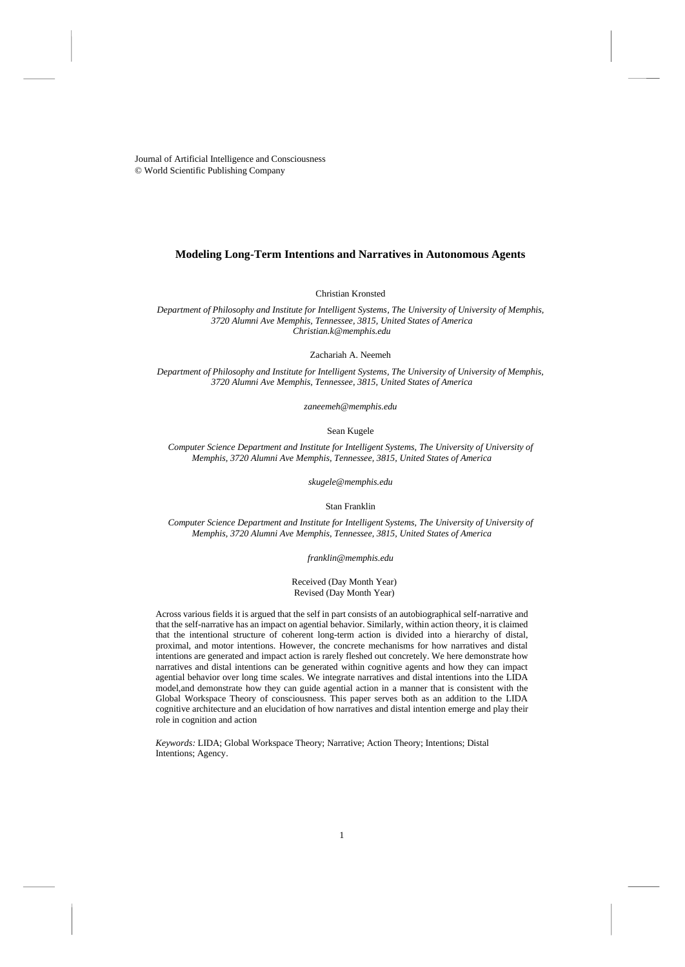Journal of Artificial Intelligence and Consciousness © World Scientific Publishing Company

## **Modeling Long-Term Intentions and Narratives in Autonomous Agents**

Christian Kronsted

*Department of Philosophy and Institute for Intelligent Systems, The University of University of Memphis, 3720 Alumni Ave Memphis, Tennessee, 3815, United States of America Christian.k@memphis.edu*

Zachariah A. Neemeh

*Department of Philosophy and Institute for Intelligent Systems, The University of University of Memphis, 3720 Alumni Ave Memphis, Tennessee, 3815, United States of America*

*[zaneemeh@memphis.edu](mailto:zaneemeh@memphis.edu)*

Sean Kugele

*Computer Science Department and Institute for Intelligent Systems, The University of University of Memphis, 3720 Alumni Ave Memphis, Tennessee, 3815, United States of America*

*[skugele@memphis.edu](mailto:skugele@memphis.edu)*

Stan Franklin

*Computer Science Department and Institute for Intelligent Systems, The University of University of Memphis, 3720 Alumni Ave Memphis, Tennessee, 3815, United States of America*

*[franklin@memphis.edu](mailto:franklin@memphis.edu)*

### Received (Day Month Year) Revised (Day Month Year)

Across various fields it is argued that the self in part consists of an autobiographical self-narrative and that the self-narrative has an impact on agential behavior. Similarly, within action theory, it is claimed that the intentional structure of coherent long-term action is divided into a hierarchy of distal, proximal, and motor intentions. However, the concrete mechanisms for how narratives and distal intentions are generated and impact action is rarely fleshed out concretely. We here demonstrate how narratives and distal intentions can be generated within cognitive agents and how they can impact agential behavior over long time scales. We integrate narratives and distal intentions into the LIDA model,and demonstrate how they can guide agential action in a manner that is consistent with the Global Workspace Theory of consciousness. This paper serves both as an addition to the LIDA cognitive architecture and an elucidation of how narratives and distal intention emerge and play their role in cognition and action

*Keywords:* LIDA; Global Workspace Theory; Narrative; Action Theory; Intentions; Distal Intentions; Agency.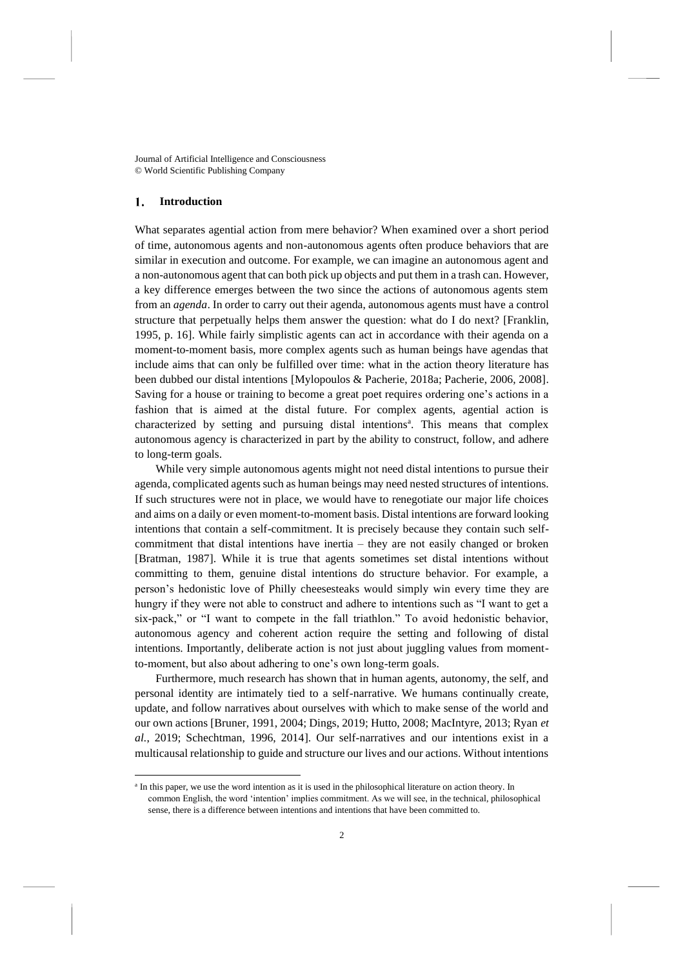Journal of Artificial Intelligence and Consciousness © World Scientific Publishing Company

#### 1. **Introduction**

What separates agential action from mere behavior? When examined over a short period of time, autonomous agents and non-autonomous agents often produce behaviors that are similar in execution and outcome. For example, we can imagine an autonomous agent and a non-autonomous agent that can both pick up objects and put them in a trash can. However, a key difference emerges between the two since the actions of autonomous agents stem from an *agenda*. In order to carry out their agenda, autonomous agents must have a control structure that perpetually helps them answer the question: what do I do next? [Franklin, 1995, p. 16]. While fairly simplistic agents can act in accordance with their agenda on a moment-to-moment basis, more complex agents such as human beings have agendas that include aims that can only be fulfilled over time: what in the action theory literature has been dubbed our distal intentions [Mylopoulos & Pacherie, 2018a; Pacherie, 2006, 2008]. Saving for a house or training to become a great poet requires ordering one's actions in a fashion that is aimed at the distal future. For complex agents, agential action is characterized by setting and pursuing distal intentions<sup>a</sup>. This means that complex autonomous agency is characterized in part by the ability to construct, follow, and adhere to long-term goals.

While very simple autonomous agents might not need distal intentions to pursue their agenda, complicated agents such as human beings may need nested structures of intentions. If such structures were not in place, we would have to renegotiate our major life choices and aims on a daily or even moment-to-moment basis. Distal intentions are forward looking intentions that contain a self-commitment. It is precisely because they contain such selfcommitment that distal intentions have inertia – they are not easily changed or broken [Bratman, 1987]. While it is true that agents sometimes set distal intentions without committing to them, genuine distal intentions do structure behavior. For example, a person's hedonistic love of Philly cheesesteaks would simply win every time they are hungry if they were not able to construct and adhere to intentions such as "I want to get a six-pack," or "I want to compete in the fall triathlon." To avoid hedonistic behavior, autonomous agency and coherent action require the setting and following of distal intentions. Importantly, deliberate action is not just about juggling values from momentto-moment, but also about adhering to one's own long-term goals.

Furthermore, much research has shown that in human agents, autonomy, the self, and personal identity are intimately tied to a self-narrative. We humans continually create, update, and follow narratives about ourselves with which to make sense of the world and our own actions [Bruner, 1991, 2004; Dings, 2019; Hutto, 2008; MacIntyre, 2013; Ryan *et al.*, 2019; Schechtman, 1996, 2014]. Our self-narratives and our intentions exist in a multicausal relationship to guide and structure our lives and our actions. Without intentions

<sup>&</sup>lt;sup>a</sup> In this paper, we use the word intention as it is used in the philosophical literature on action theory. In common English, the word 'intention' implies commitment. As we will see, in the technical, philosophical sense, there is a difference between intentions and intentions that have been committed to.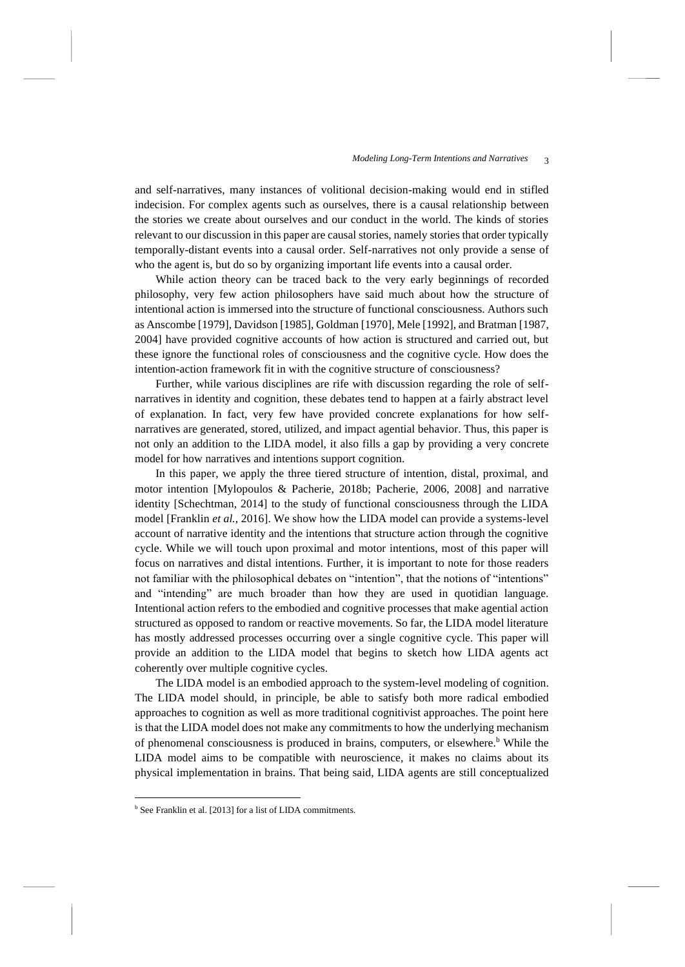and self-narratives, many instances of volitional decision-making would end in stifled indecision. For complex agents such as ourselves, there is a causal relationship between the stories we create about ourselves and our conduct in the world. The kinds of stories relevant to our discussion in this paper are causal stories, namely stories that order typically temporally-distant events into a causal order. Self-narratives not only provide a sense of who the agent is, but do so by organizing important life events into a causal order.

While action theory can be traced back to the very early beginnings of recorded philosophy, very few action philosophers have said much about how the structure of intentional action is immersed into the structure of functional consciousness. Authors such as Anscombe [1979], Davidson [1985], Goldman [1970], Mele [1992], and Bratman [1987, 2004] have provided cognitive accounts of how action is structured and carried out, but these ignore the functional roles of consciousness and the cognitive cycle. How does the intention-action framework fit in with the cognitive structure of consciousness?

Further, while various disciplines are rife with discussion regarding the role of selfnarratives in identity and cognition, these debates tend to happen at a fairly abstract level of explanation. In fact, very few have provided concrete explanations for how selfnarratives are generated, stored, utilized, and impact agential behavior. Thus, this paper is not only an addition to the LIDA model, it also fills a gap by providing a very concrete model for how narratives and intentions support cognition.

In this paper, we apply the three tiered structure of intention, distal, proximal, and motor intention [Mylopoulos & Pacherie, 2018b; Pacherie, 2006, 2008] and narrative identity [Schechtman, 2014] to the study of functional consciousness through the LIDA model [Franklin *et al.*, 2016]. We show how the LIDA model can provide a systems-level account of narrative identity and the intentions that structure action through the cognitive cycle. While we will touch upon proximal and motor intentions, most of this paper will focus on narratives and distal intentions. Further, it is important to note for those readers not familiar with the philosophical debates on "intention", that the notions of "intentions" and "intending" are much broader than how they are used in quotidian language. Intentional action refers to the embodied and cognitive processes that make agential action structured as opposed to random or reactive movements. So far, the LIDA model literature has mostly addressed processes occurring over a single cognitive cycle. This paper will provide an addition to the LIDA model that begins to sketch how LIDA agents act coherently over multiple cognitive cycles.

The LIDA model is an embodied approach to the system-level modeling of cognition. The LIDA model should, in principle, be able to satisfy both more radical embodied approaches to cognition as well as more traditional cognitivist approaches. The point here is that the LIDA model does not make any commitments to how the underlying mechanism of phenomenal consciousness is produced in brains, computers, or elsewhere.<sup>b</sup> While the LIDA model aims to be compatible with neuroscience, it makes no claims about its physical implementation in brains. That being said, LIDA agents are still conceptualized

<sup>b</sup> See Franklin et al. [2013] for a list of LIDA commitments.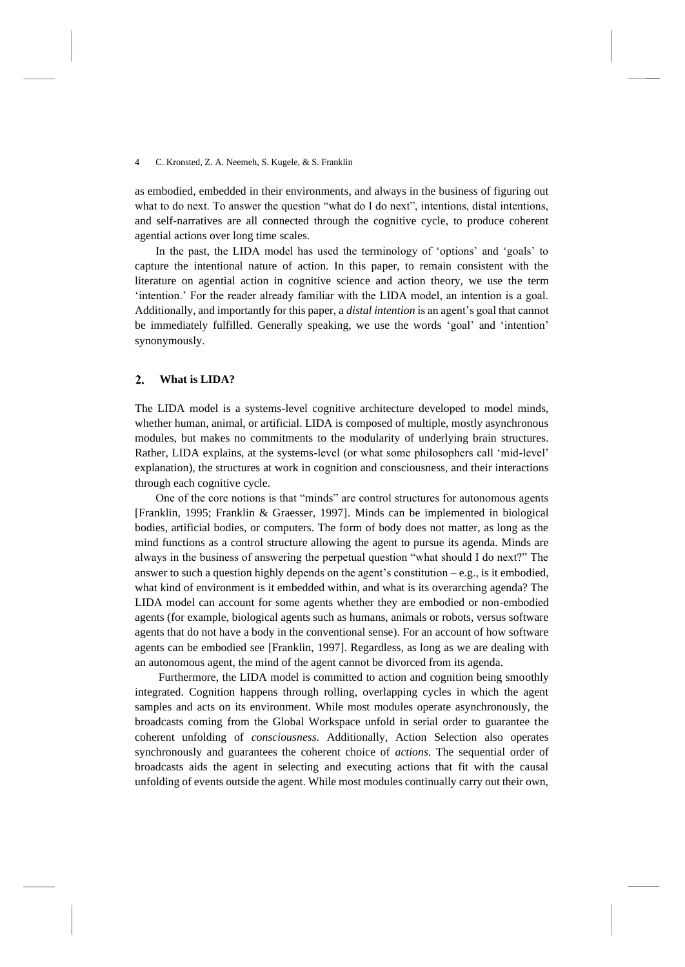as embodied, embedded in their environments, and always in the business of figuring out what to do next. To answer the question "what do I do next", intentions, distal intentions, and self-narratives are all connected through the cognitive cycle, to produce coherent agential actions over long time scales.

In the past, the LIDA model has used the terminology of 'options' and 'goals' to capture the intentional nature of action. In this paper, to remain consistent with the literature on agential action in cognitive science and action theory, we use the term 'intention.' For the reader already familiar with the LIDA model, an intention is a goal. Additionally, and importantly for this paper, a *distal intention* is an agent's goal that cannot be immediately fulfilled. Generally speaking, we use the words 'goal' and 'intention' synonymously.

#### $\overline{2}$ . **What is LIDA?**

The LIDA model is a systems-level cognitive architecture developed to model minds, whether human, animal, or artificial. LIDA is composed of multiple, mostly asynchronous modules, but makes no commitments to the modularity of underlying brain structures. Rather, LIDA explains, at the systems-level (or what some philosophers call 'mid-level' explanation), the structures at work in cognition and consciousness, and their interactions through each cognitive cycle.

One of the core notions is that "minds" are control structures for autonomous agents [Franklin, 1995; Franklin & Graesser, 1997]. Minds can be implemented in biological bodies, artificial bodies, or computers. The form of body does not matter, as long as the mind functions as a control structure allowing the agent to pursue its agenda. Minds are always in the business of answering the perpetual question "what should I do next?" The answer to such a question highly depends on the agent's constitution  $-e.g.,$  is it embodied, what kind of environment is it embedded within, and what is its overarching agenda? The LIDA model can account for some agents whether they are embodied or non-embodied agents (for example, biological agents such as humans, animals or robots, versus software agents that do not have a body in the conventional sense). For an account of how software agents can be embodied see [Franklin, 1997]. Regardless, as long as we are dealing with an autonomous agent, the mind of the agent cannot be divorced from its agenda.

Furthermore, the LIDA model is committed to action and cognition being smoothly integrated. Cognition happens through rolling, overlapping cycles in which the agent samples and acts on its environment. While most modules operate asynchronously, the broadcasts coming from the Global Workspace unfold in serial order to guarantee the coherent unfolding of *consciousness*. Additionally, Action Selection also operates synchronously and guarantees the coherent choice of *actions*. The sequential order of broadcasts aids the agent in selecting and executing actions that fit with the causal unfolding of events outside the agent. While most modules continually carry out their own,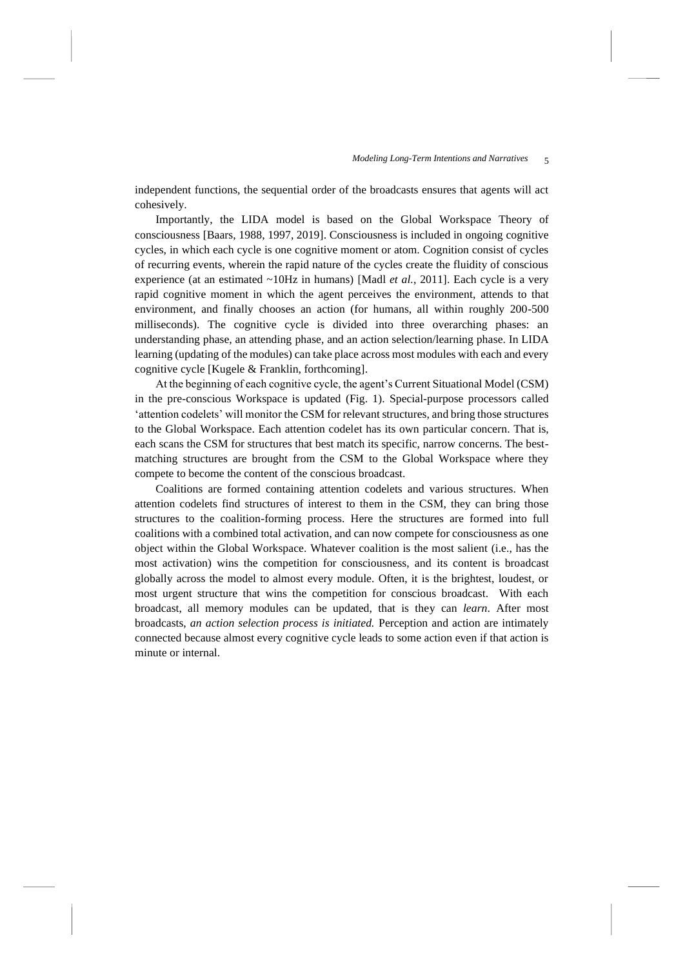independent functions, the sequential order of the broadcasts ensures that agents will act cohesively.

Importantly, the LIDA model is based on the Global Workspace Theory of consciousness [Baars, 1988, 1997, 2019]. Consciousness is included in ongoing cognitive cycles, in which each cycle is one cognitive moment or atom. Cognition consist of cycles of recurring events, wherein the rapid nature of the cycles create the fluidity of conscious experience (at an estimated ~10Hz in humans) [Madl *et al.*, 2011]. Each cycle is a very rapid cognitive moment in which the agent perceives the environment, attends to that environment, and finally chooses an action (for humans, all within roughly 200-500 milliseconds). The cognitive cycle is divided into three overarching phases: an understanding phase, an attending phase, and an action selection/learning phase. In LIDA learning (updating of the modules) can take place across most modules with each and every cognitive cycle [Kugele & Franklin, forthcoming].

At the beginning of each cognitive cycle, the agent's Current Situational Model (CSM) in the pre-conscious Workspace is updated [\(Fig.](#page-5-0) 1). Special-purpose processors called 'attention codelets' will monitor the CSM for relevant structures, and bring those structures to the Global Workspace. Each attention codelet has its own particular concern. That is, each scans the CSM for structures that best match its specific, narrow concerns. The bestmatching structures are brought from the CSM to the Global Workspace where they compete to become the content of the conscious broadcast.

Coalitions are formed containing attention codelets and various structures. When attention codelets find structures of interest to them in the CSM, they can bring those structures to the coalition-forming process. Here the structures are formed into full coalitions with a combined total activation, and can now compete for consciousness as one object within the Global Workspace. Whatever coalition is the most salient (i.e., has the most activation) wins the competition for consciousness, and its content is broadcast globally across the model to almost every module. Often, it is the brightest, loudest, or most urgent structure that wins the competition for conscious broadcast. With each broadcast, all memory modules can be updated, that is they can *learn*. After most broadcasts, *an action selection process is initiated.* Perception and action are intimately connected because almost every cognitive cycle leads to some action even if that action is minute or internal.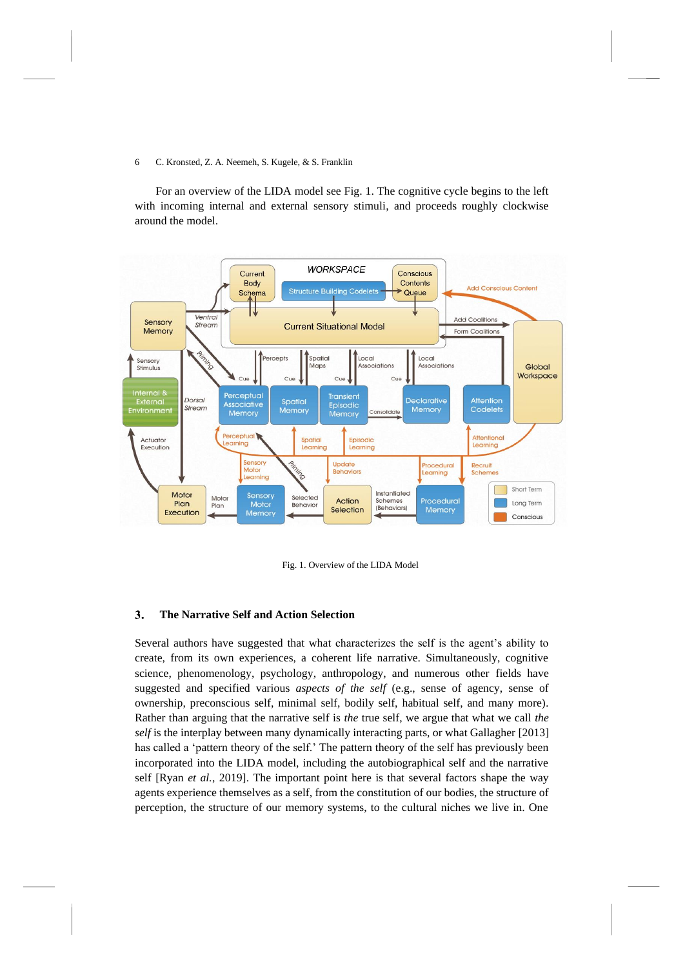For an overview of the LIDA model see [Fig.](#page-5-0) 1. The cognitive cycle begins to the left with incoming internal and external sensory stimuli, and proceeds roughly clockwise around the model.



Fig. 1. Overview of the LIDA Model

### <span id="page-5-0"></span> $3.$ **The Narrative Self and Action Selection**

Several authors have suggested that what characterizes the self is the agent's ability to create, from its own experiences, a coherent life narrative. Simultaneously, cognitive science, phenomenology, psychology, anthropology, and numerous other fields have suggested and specified various *aspects of the self* (e.g., sense of agency, sense of ownership, preconscious self, minimal self, bodily self, habitual self, and many more)*.*  Rather than arguing that the narrative self is *the* true self, we argue that what we call *the self* is the interplay between many dynamically interacting parts, or what Gallagher [2013] has called a 'pattern theory of the self.' The pattern theory of the self has previously been incorporated into the LIDA model, including the autobiographical self and the narrative self [Ryan *et al.*, 2019]. The important point here is that several factors shape the way agents experience themselves as a self, from the constitution of our bodies, the structure of perception, the structure of our memory systems, to the cultural niches we live in. One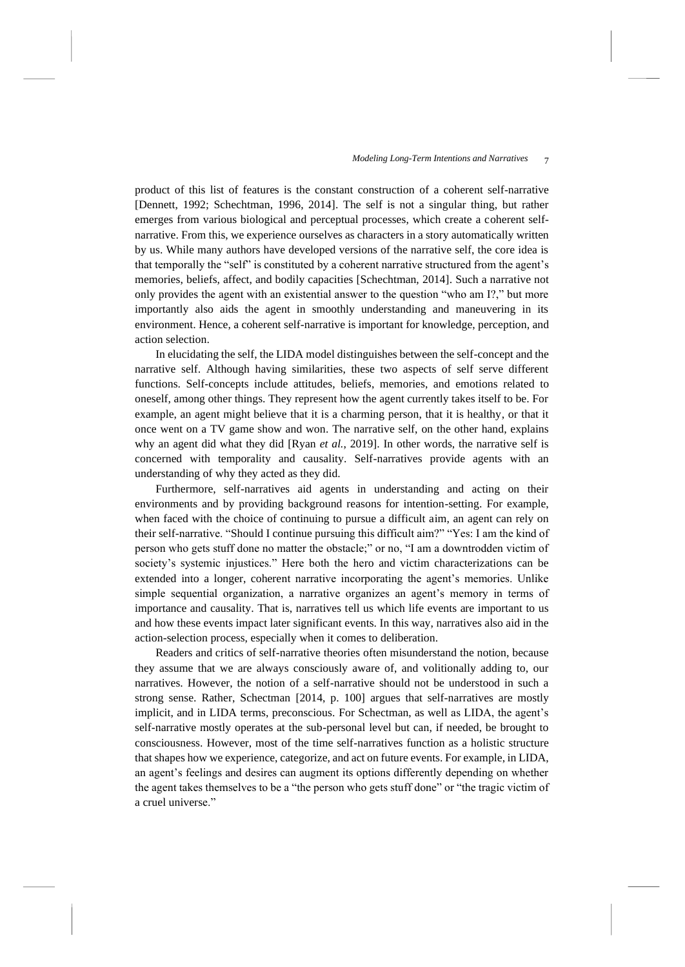product of this list of features is the constant construction of a coherent self-narrative [Dennett, 1992; Schechtman, 1996, 2014]. The self is not a singular thing, but rather emerges from various biological and perceptual processes, which create a coherent selfnarrative. From this, we experience ourselves as characters in a story automatically written by us. While many authors have developed versions of the narrative self, the core idea is that temporally the "self" is constituted by a coherent narrative structured from the agent's memories, beliefs, affect, and bodily capacities [Schechtman, 2014]. Such a narrative not only provides the agent with an existential answer to the question "who am I?," but more importantly also aids the agent in smoothly understanding and maneuvering in its environment. Hence, a coherent self-narrative is important for knowledge, perception, and action selection.

In elucidating the self, the LIDA model distinguishes between the self-concept and the narrative self. Although having similarities, these two aspects of self serve different functions. Self-concepts include attitudes, beliefs, memories, and emotions related to oneself, among other things. They represent how the agent currently takes itself to be. For example, an agent might believe that it is a charming person, that it is healthy, or that it once went on a TV game show and won. The narrative self, on the other hand, explains why an agent did what they did [Ryan *et al.*, 2019]. In other words, the narrative self is concerned with temporality and causality. Self-narratives provide agents with an understanding of why they acted as they did.

Furthermore, self-narratives aid agents in understanding and acting on their environments and by providing background reasons for intention-setting. For example, when faced with the choice of continuing to pursue a difficult aim, an agent can rely on their self-narrative. "Should I continue pursuing this difficult aim?" "Yes: I am the kind of person who gets stuff done no matter the obstacle;" or no, "I am a downtrodden victim of society's systemic injustices." Here both the hero and victim characterizations can be extended into a longer, coherent narrative incorporating the agent's memories. Unlike simple sequential organization, a narrative organizes an agent's memory in terms of importance and causality. That is, narratives tell us which life events are important to us and how these events impact later significant events. In this way, narratives also aid in the action-selection process, especially when it comes to deliberation.

Readers and critics of self-narrative theories often misunderstand the notion, because they assume that we are always consciously aware of, and volitionally adding to, our narratives. However, the notion of a self-narrative should not be understood in such a strong sense. Rather, Schectman [2014, p. 100] argues that self-narratives are mostly implicit, and in LIDA terms, preconscious. For Schectman, as well as LIDA, the agent's self-narrative mostly operates at the sub-personal level but can, if needed, be brought to consciousness. However, most of the time self-narratives function as a holistic structure that shapes how we experience, categorize, and act on future events. For example, in LIDA, an agent's feelings and desires can augment its options differently depending on whether the agent takes themselves to be a "the person who gets stuff done" or "the tragic victim of a cruel universe."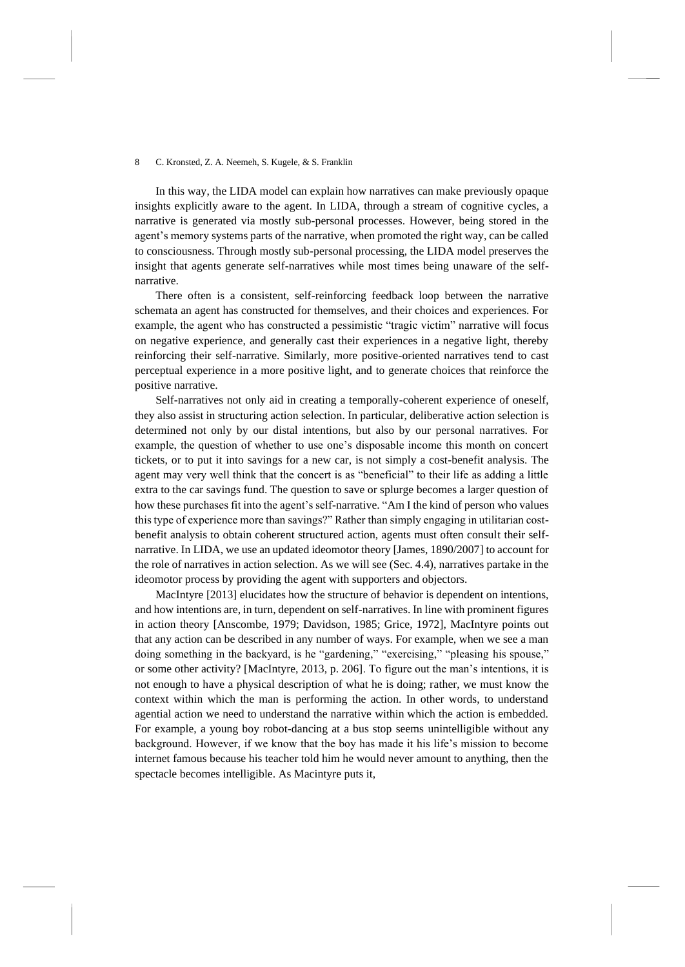In this way, the LIDA model can explain how narratives can make previously opaque insights explicitly aware to the agent. In LIDA, through a stream of cognitive cycles, a narrative is generated via mostly sub-personal processes. However, being stored in the agent's memory systems parts of the narrative, when promoted the right way, can be called to consciousness. Through mostly sub-personal processing, the LIDA model preserves the insight that agents generate self-narratives while most times being unaware of the selfnarrative.

There often is a consistent, self-reinforcing feedback loop between the narrative schemata an agent has constructed for themselves, and their choices and experiences. For example, the agent who has constructed a pessimistic "tragic victim" narrative will focus on negative experience, and generally cast their experiences in a negative light, thereby reinforcing their self-narrative. Similarly, more positive-oriented narratives tend to cast perceptual experience in a more positive light, and to generate choices that reinforce the positive narrative.

Self-narratives not only aid in creating a temporally-coherent experience of oneself, they also assist in structuring action selection. In particular, deliberative action selection is determined not only by our distal intentions, but also by our personal narratives. For example, the question of whether to use one's disposable income this month on concert tickets, or to put it into savings for a new car, is not simply a cost-benefit analysis. The agent may very well think that the concert is as "beneficial" to their life as adding a little extra to the car savings fund. The question to save or splurge becomes a larger question of how these purchases fit into the agent's self-narrative. "Am I the kind of person who values this type of experience more than savings?" Rather than simply engaging in utilitarian costbenefit analysis to obtain coherent structured action, agents must often consult their selfnarrative. In LIDA, we use an updated ideomotor theory [James, 1890/2007] to account for the role of narratives in action selection. As we will see (Sec. 4.4), narratives partake in the ideomotor process by providing the agent with supporters and objectors.

MacIntyre [2013] elucidates how the structure of behavior is dependent on intentions, and how intentions are, in turn, dependent on self-narratives. In line with prominent figures in action theory [Anscombe, 1979; Davidson, 1985; Grice, 1972], MacIntyre points out that any action can be described in any number of ways. For example, when we see a man doing something in the backyard, is he "gardening," "exercising," "pleasing his spouse," or some other activity? [MacIntyre, 2013, p. 206]. To figure out the man's intentions, it is not enough to have a physical description of what he is doing; rather, we must know the context within which the man is performing the action. In other words, to understand agential action we need to understand the narrative within which the action is embedded. For example, a young boy robot-dancing at a bus stop seems unintelligible without any background. However, if we know that the boy has made it his life's mission to become internet famous because his teacher told him he would never amount to anything, then the spectacle becomes intelligible. As Macintyre puts it,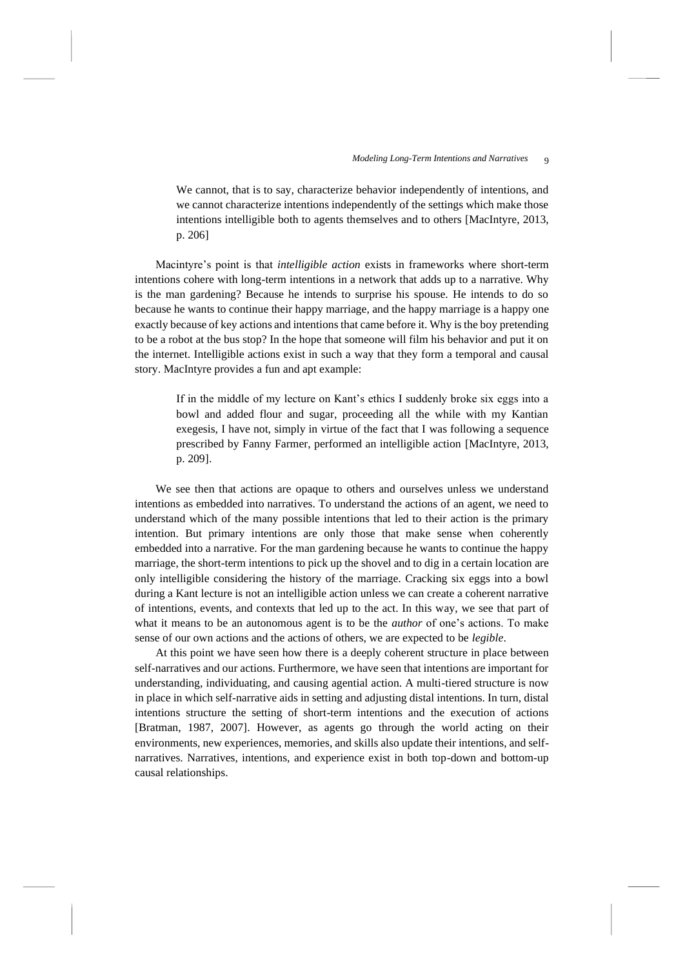We cannot, that is to say, characterize behavior independently of intentions, and we cannot characterize intentions independently of the settings which make those intentions intelligible both to agents themselves and to others [MacIntyre, 2013, p. 206]

Macintyre's point is that *intelligible action* exists in frameworks where short-term intentions cohere with long-term intentions in a network that adds up to a narrative. Why is the man gardening? Because he intends to surprise his spouse. He intends to do so because he wants to continue their happy marriage, and the happy marriage is a happy one exactly because of key actions and intentions that came before it. Why is the boy pretending to be a robot at the bus stop? In the hope that someone will film his behavior and put it on the internet. Intelligible actions exist in such a way that they form a temporal and causal story. MacIntyre provides a fun and apt example:

If in the middle of my lecture on Kant's ethics I suddenly broke six eggs into a bowl and added flour and sugar, proceeding all the while with my Kantian exegesis, I have not, simply in virtue of the fact that I was following a sequence prescribed by Fanny Farmer, performed an intelligible action [MacIntyre, 2013, p. 209].

We see then that actions are opaque to others and ourselves unless we understand intentions as embedded into narratives. To understand the actions of an agent, we need to understand which of the many possible intentions that led to their action is the primary intention. But primary intentions are only those that make sense when coherently embedded into a narrative. For the man gardening because he wants to continue the happy marriage, the short-term intentions to pick up the shovel and to dig in a certain location are only intelligible considering the history of the marriage. Cracking six eggs into a bowl during a Kant lecture is not an intelligible action unless we can create a coherent narrative of intentions, events, and contexts that led up to the act. In this way, we see that part of what it means to be an autonomous agent is to be the *author* of one's actions. To make sense of our own actions and the actions of others, we are expected to be *legible*.

At this point we have seen how there is a deeply coherent structure in place between self-narratives and our actions. Furthermore, we have seen that intentions are important for understanding, individuating, and causing agential action. A multi-tiered structure is now in place in which self-narrative aids in setting and adjusting distal intentions. In turn, distal intentions structure the setting of short-term intentions and the execution of actions [Bratman, 1987, 2007]. However, as agents go through the world acting on their environments, new experiences, memories, and skills also update their intentions, and selfnarratives. Narratives, intentions, and experience exist in both top-down and bottom-up causal relationships.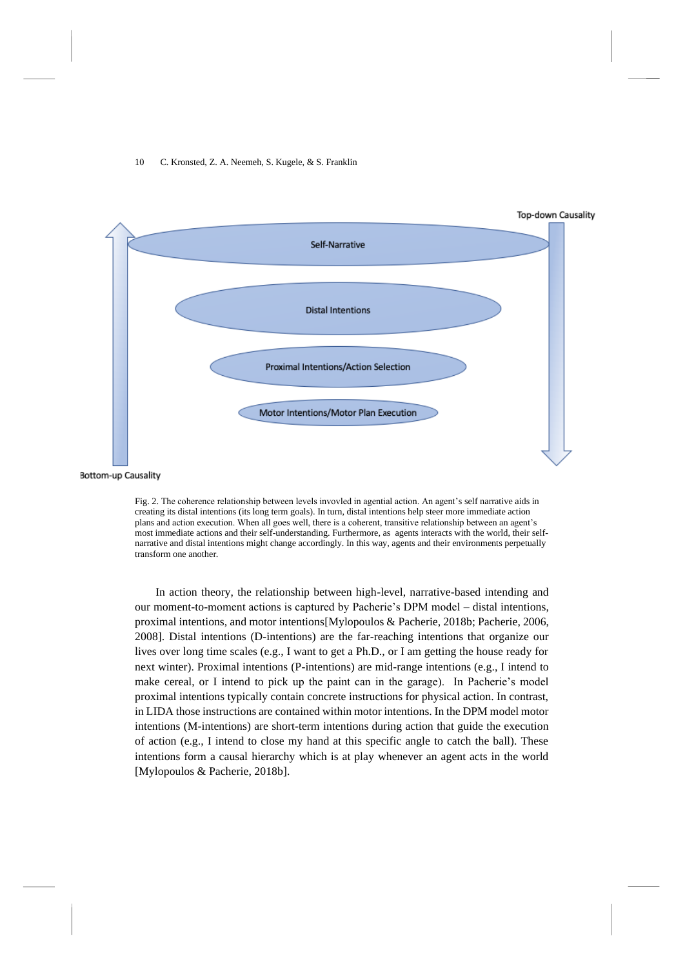

<span id="page-9-0"></span>Fig. 2. The coherence relationship between levels invovled in agential action. An agent's self narrative aids in creating its distal intentions (its long term goals). In turn, distal intentions help steer more immediate action plans and action execution. When all goes well, there is a coherent, transitive relationship between an agent's most immediate actions and their self-understanding. Furthermore, as agents interacts with the world, their selfnarrative and distal intentions might change accordingly. In this way, agents and their environments perpetually transform one another.

In action theory, the relationship between high-level, narrative-based intending and our moment-to-moment actions is captured by Pacherie's DPM model – distal intentions, proximal intentions, and motor intentions[Mylopoulos & Pacherie, 2018b; Pacherie, 2006, 2008]. Distal intentions (D-intentions) are the far-reaching intentions that organize our lives over long time scales (e.g., I want to get a Ph.D., or I am getting the house ready for next winter). Proximal intentions (P-intentions) are mid-range intentions (e.g., I intend to make cereal, or I intend to pick up the paint can in the garage). In Pacherie's model proximal intentions typically contain concrete instructions for physical action. In contrast, in LIDA those instructions are contained within motor intentions. In the DPM model motor intentions (M-intentions) are short-term intentions during action that guide the execution of action (e.g., I intend to close my hand at this specific angle to catch the ball). These intentions form a causal hierarchy which is at play whenever an agent acts in the world [Mylopoulos & Pacherie, 2018b].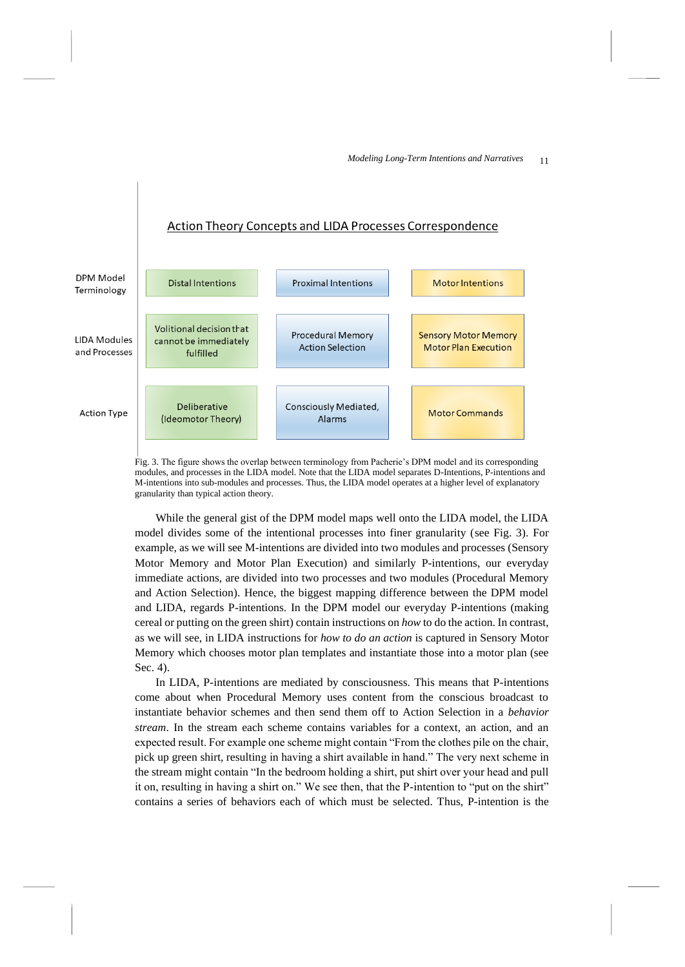# Action Theory Concepts and LIDA Processes Correspondence



<span id="page-10-0"></span>Fig. 3. The figure shows the overlap between terminology from Pacherie's DPM model and its corresponding modules, and processes in the LIDA model. Note that the LIDA model separates D-Intentions, P-intentions and M-intentions into sub-modules and processes. Thus, the LIDA model operates at a higher level of explanatory granularity than typical action theory.

While the general gist of the DPM model maps well onto the LIDA model, the LIDA model divides some of the intentional processes into finer granularity (see [Fig.](#page-10-0) 3). For example, as we will see M-intentions are divided into two modules and processes (Sensory Motor Memory and Motor Plan Execution) and similarly P-intentions, our everyday immediate actions, are divided into two processes and two modules (Procedural Memory and Action Selection). Hence, the biggest mapping difference between the DPM model and LIDA, regards P-intentions. In the DPM model our everyday P-intentions (making cereal or putting on the green shirt) contain instructions on *how* to do the action. In contrast, as we will see, in LIDA instructions for *how to do an action* is captured in Sensory Motor Memory which chooses motor plan templates and instantiate those into a motor plan (see Sec. 4).

In LIDA, P-intentions are mediated by consciousness. This means that P-intentions come about when Procedural Memory uses content from the conscious broadcast to instantiate behavior schemes and then send them off to Action Selection in a *behavior stream*. In the stream each scheme contains variables for a context, an action, and an expected result. For example one scheme might contain "From the clothes pile on the chair, pick up green shirt, resulting in having a shirt available in hand." The very next scheme in the stream might contain "In the bedroom holding a shirt, put shirt over your head and pull it on, resulting in having a shirt on." We see then, that the P-intention to "put on the shirt" contains a series of behaviors each of which must be selected. Thus, P-intention is the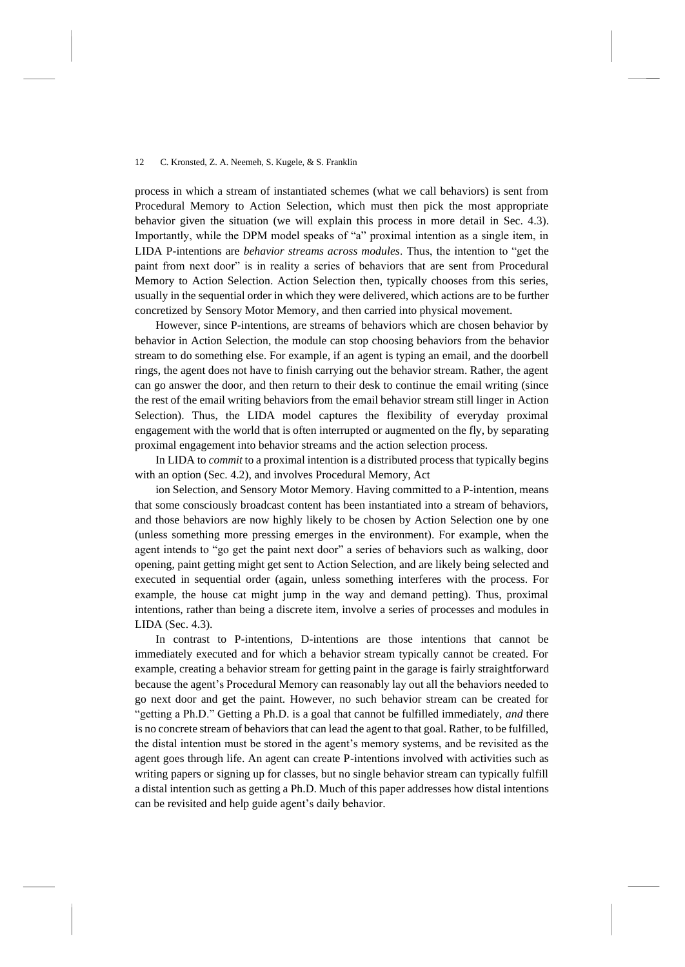process in which a stream of instantiated schemes (what we call behaviors) is sent from Procedural Memory to Action Selection, which must then pick the most appropriate behavior given the situation (we will explain this process in more detail in Sec. 4.3). Importantly, while the DPM model speaks of "a" proximal intention as a single item, in LIDA P-intentions are *behavior streams across modules*. Thus, the intention to "get the paint from next door" is in reality a series of behaviors that are sent from Procedural Memory to Action Selection. Action Selection then, typically chooses from this series, usually in the sequential order in which they were delivered, which actions are to be further concretized by Sensory Motor Memory, and then carried into physical movement.

However, since P-intentions, are streams of behaviors which are chosen behavior by behavior in Action Selection, the module can stop choosing behaviors from the behavior stream to do something else. For example, if an agent is typing an email, and the doorbell rings, the agent does not have to finish carrying out the behavior stream. Rather, the agent can go answer the door, and then return to their desk to continue the email writing (since the rest of the email writing behaviors from the email behavior stream still linger in Action Selection). Thus, the LIDA model captures the flexibility of everyday proximal engagement with the world that is often interrupted or augmented on the fly, by separating proximal engagement into behavior streams and the action selection process.

In LIDA to *commit* to a proximal intention is a distributed process that typically begins with an option (Sec. 4.2), and involves Procedural Memory, Act

ion Selection, and Sensory Motor Memory. Having committed to a P-intention, means that some consciously broadcast content has been instantiated into a stream of behaviors, and those behaviors are now highly likely to be chosen by Action Selection one by one (unless something more pressing emerges in the environment). For example, when the agent intends to "go get the paint next door" a series of behaviors such as walking, door opening, paint getting might get sent to Action Selection, and are likely being selected and executed in sequential order (again, unless something interferes with the process. For example, the house cat might jump in the way and demand petting). Thus, proximal intentions, rather than being a discrete item, involve a series of processes and modules in LIDA (Sec. 4.3).

In contrast to P-intentions, D-intentions are those intentions that cannot be immediately executed and for which a behavior stream typically cannot be created. For example, creating a behavior stream for getting paint in the garage is fairly straightforward because the agent's Procedural Memory can reasonably lay out all the behaviors needed to go next door and get the paint. However, no such behavior stream can be created for "getting a Ph.D." Getting a Ph.D. is a goal that cannot be fulfilled immediately, *and* there is no concrete stream of behaviors that can lead the agent to that goal. Rather, to be fulfilled, the distal intention must be stored in the agent's memory systems, and be revisited as the agent goes through life. An agent can create P-intentions involved with activities such as writing papers or signing up for classes, but no single behavior stream can typically fulfill a distal intention such as getting a Ph.D. Much of this paper addresses how distal intentions can be revisited and help guide agent's daily behavior.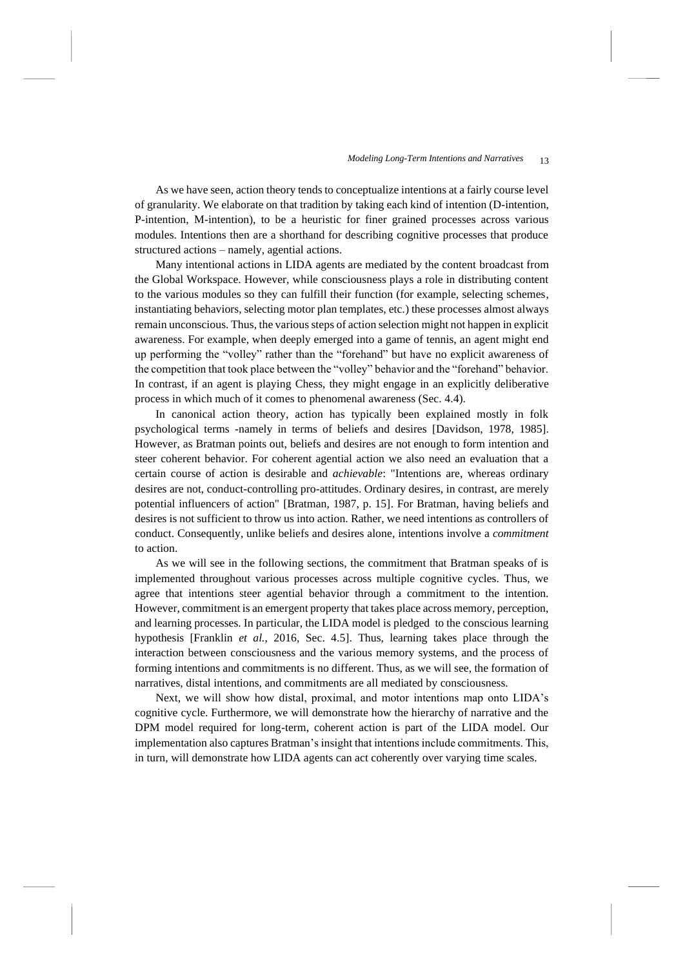As we have seen, action theory tends to conceptualize intentions at a fairly course level of granularity. We elaborate on that tradition by taking each kind of intention (D-intention, P-intention, M-intention), to be a heuristic for finer grained processes across various modules. Intentions then are a shorthand for describing cognitive processes that produce structured actions – namely, agential actions.

Many intentional actions in LIDA agents are mediated by the content broadcast from the Global Workspace. However, while consciousness plays a role in distributing content to the various modules so they can fulfill their function (for example, selecting schemes, instantiating behaviors, selecting motor plan templates, etc.) these processes almost always remain unconscious. Thus, the various steps of action selection might not happen in explicit awareness. For example, when deeply emerged into a game of tennis, an agent might end up performing the "volley" rather than the "forehand" but have no explicit awareness of the competition that took place between the "volley" behavior and the "forehand" behavior. In contrast, if an agent is playing Chess, they might engage in an explicitly deliberative process in which much of it comes to phenomenal awareness (Sec. 4.4).

In canonical action theory, action has typically been explained mostly in folk psychological terms -namely in terms of beliefs and desires [Davidson, 1978, 1985]. However, as Bratman points out, beliefs and desires are not enough to form intention and steer coherent behavior. For coherent agential action we also need an evaluation that a certain course of action is desirable and *achievable*: "Intentions are, whereas ordinary desires are not, conduct-controlling pro-attitudes. Ordinary desires, in contrast, are merely potential influencers of action" [Bratman, 1987, p. 15]. For Bratman, having beliefs and desires is not sufficient to throw us into action. Rather, we need intentions as controllers of conduct. Consequently, unlike beliefs and desires alone, intentions involve a *commitment* to action.

As we will see in the following sections, the commitment that Bratman speaks of is implemented throughout various processes across multiple cognitive cycles. Thus, we agree that intentions steer agential behavior through a commitment to the intention. However, commitment is an emergent property that takes place across memory, perception, and learning processes. In particular, the LIDA model is pledged to the conscious learning hypothesis [Franklin *et al.*, 2016, Sec. 4.5]. Thus, learning takes place through the interaction between consciousness and the various memory systems, and the process of forming intentions and commitments is no different. Thus, as we will see, the formation of narratives, distal intentions, and commitments are all mediated by consciousness.

Next, we will show how distal, proximal, and motor intentions map onto LIDA's cognitive cycle. Furthermore, we will demonstrate how the hierarchy of narrative and the DPM model required for long-term, coherent action is part of the LIDA model. Our implementation also captures Bratman's insight that intentions include commitments. This, in turn, will demonstrate how LIDA agents can act coherently over varying time scales.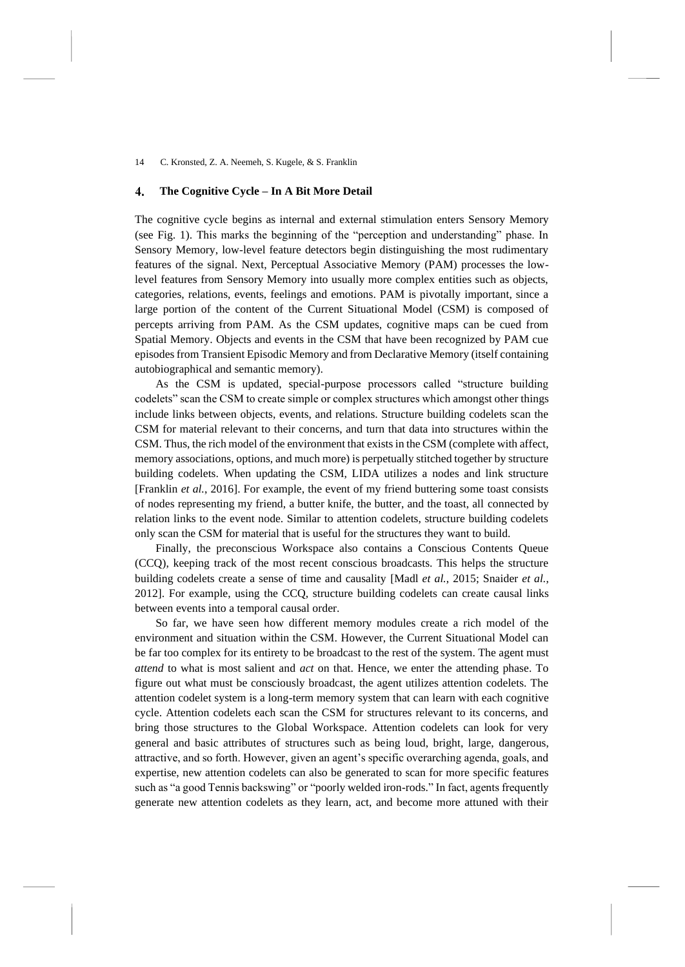### **The Cognitive Cycle – In A Bit More Detail**  4.

The cognitive cycle begins as internal and external stimulation enters Sensory Memory (see [Fig.](#page-5-0) 1). This marks the beginning of the "perception and understanding" phase. In Sensory Memory, low-level feature detectors begin distinguishing the most rudimentary features of the signal. Next, Perceptual Associative Memory (PAM) processes the lowlevel features from Sensory Memory into usually more complex entities such as objects, categories, relations, events, feelings and emotions. PAM is pivotally important, since a large portion of the content of the Current Situational Model (CSM) is composed of percepts arriving from PAM. As the CSM updates, cognitive maps can be cued from Spatial Memory. Objects and events in the CSM that have been recognized by PAM cue episodes from Transient Episodic Memory and from Declarative Memory (itself containing autobiographical and semantic memory).

As the CSM is updated, special-purpose processors called "structure building codelets" scan the CSM to create simple or complex structures which amongst other things include links between objects, events, and relations. Structure building codelets scan the CSM for material relevant to their concerns, and turn that data into structures within the CSM. Thus, the rich model of the environment that exists in the CSM (complete with affect, memory associations, options, and much more) is perpetually stitched together by structure building codelets. When updating the CSM, LIDA utilizes a nodes and link structure [Franklin *et al.*, 2016]. For example, the event of my friend buttering some toast consists of nodes representing my friend, a butter knife, the butter, and the toast, all connected by relation links to the event node. Similar to attention codelets, structure building codelets only scan the CSM for material that is useful for the structures they want to build.

Finally, the preconscious Workspace also contains a Conscious Contents Queue (CCQ), keeping track of the most recent conscious broadcasts. This helps the structure building codelets create a sense of time and causality [Madl *et al.*, 2015; Snaider *et al.*, 2012]. For example, using the CCQ, structure building codelets can create causal links between events into a temporal causal order.

So far, we have seen how different memory modules create a rich model of the environment and situation within the CSM. However, the Current Situational Model can be far too complex for its entirety to be broadcast to the rest of the system. The agent must *attend* to what is most salient and *act* on that. Hence, we enter the attending phase. To figure out what must be consciously broadcast, the agent utilizes attention codelets. The attention codelet system is a long-term memory system that can learn with each cognitive cycle. Attention codelets each scan the CSM for structures relevant to its concerns, and bring those structures to the Global Workspace. Attention codelets can look for very general and basic attributes of structures such as being loud, bright, large, dangerous, attractive, and so forth. However, given an agent's specific overarching agenda, goals, and expertise, new attention codelets can also be generated to scan for more specific features such as "a good Tennis backswing" or "poorly welded iron-rods." In fact, agents frequently generate new attention codelets as they learn, act, and become more attuned with their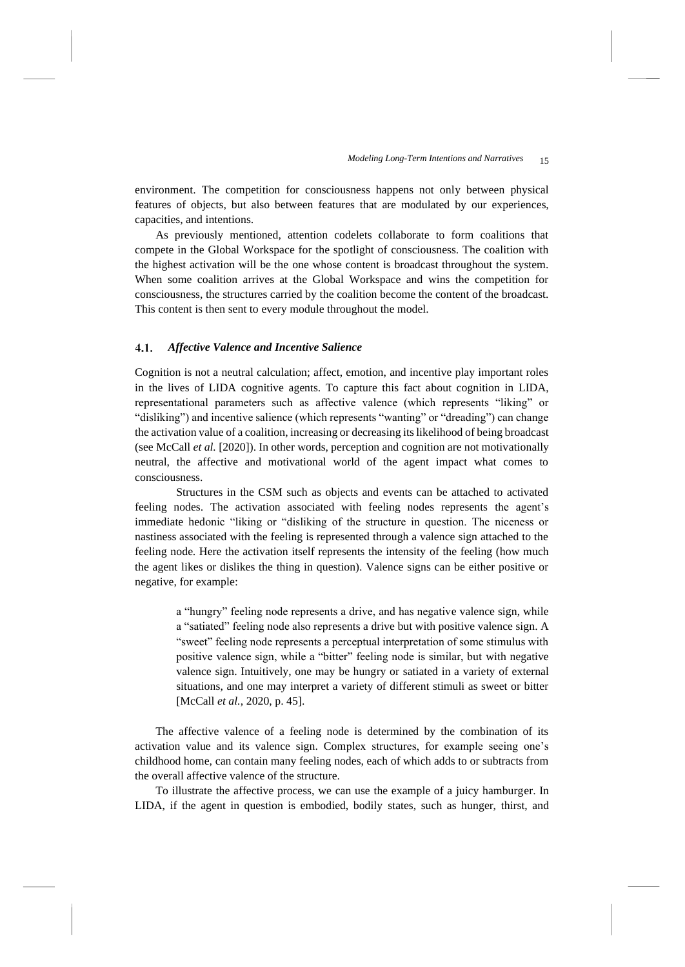environment. The competition for consciousness happens not only between physical features of objects, but also between features that are modulated by our experiences, capacities, and intentions.

As previously mentioned, attention codelets collaborate to form coalitions that compete in the Global Workspace for the spotlight of consciousness. The coalition with the highest activation will be the one whose content is broadcast throughout the system. When some coalition arrives at the Global Workspace and wins the competition for consciousness, the structures carried by the coalition become the content of the broadcast. This content is then sent to every module throughout the model.

### $4.1.$ *Affective Valence and Incentive Salience*

Cognition is not a neutral calculation; affect, emotion, and incentive play important roles in the lives of LIDA cognitive agents. To capture this fact about cognition in LIDA, representational parameters such as affective valence (which represents "liking" or "disliking") and incentive salience (which represents "wanting" or "dreading") can change the activation value of a coalition, increasing or decreasing its likelihood of being broadcast (see McCall *et al.* [2020]). In other words, perception and cognition are not motivationally neutral, the affective and motivational world of the agent impact what comes to consciousness.

Structures in the CSM such as objects and events can be attached to activated feeling nodes. The activation associated with feeling nodes represents the agent's immediate hedonic "liking or "disliking of the structure in question. The niceness or nastiness associated with the feeling is represented through a valence sign attached to the feeling node. Here the activation itself represents the intensity of the feeling (how much the agent likes or dislikes the thing in question). Valence signs can be either positive or negative, for example:

a "hungry" feeling node represents a drive, and has negative valence sign, while a "satiated" feeling node also represents a drive but with positive valence sign. A "sweet" feeling node represents a perceptual interpretation of some stimulus with positive valence sign, while a "bitter" feeling node is similar, but with negative valence sign. Intuitively, one may be hungry or satiated in a variety of external situations, and one may interpret a variety of different stimuli as sweet or bitter [McCall *et al.*, 2020, p. 45].

The affective valence of a feeling node is determined by the combination of its activation value and its valence sign. Complex structures, for example seeing one's childhood home, can contain many feeling nodes, each of which adds to or subtracts from the overall affective valence of the structure.

To illustrate the affective process, we can use the example of a juicy hamburger. In LIDA, if the agent in question is embodied, bodily states, such as hunger, thirst, and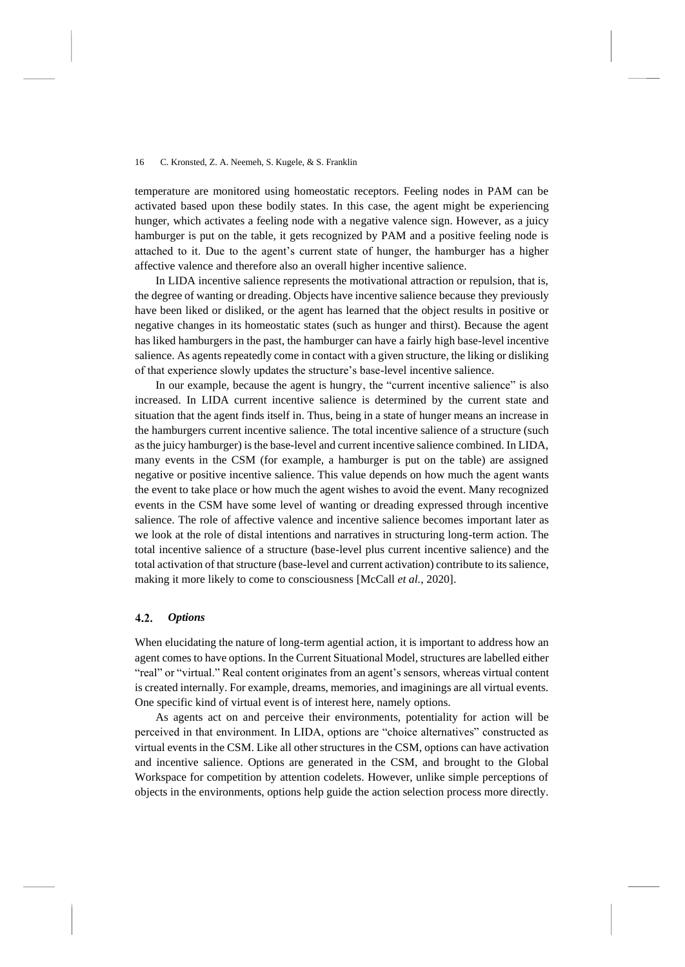temperature are monitored using homeostatic receptors. Feeling nodes in PAM can be activated based upon these bodily states. In this case, the agent might be experiencing hunger, which activates a feeling node with a negative valence sign. However, as a juicy hamburger is put on the table, it gets recognized by PAM and a positive feeling node is attached to it. Due to the agent's current state of hunger, the hamburger has a higher affective valence and therefore also an overall higher incentive salience.

In LIDA incentive salience represents the motivational attraction or repulsion, that is, the degree of wanting or dreading. Objects have incentive salience because they previously have been liked or disliked, or the agent has learned that the object results in positive or negative changes in its homeostatic states (such as hunger and thirst). Because the agent has liked hamburgers in the past, the hamburger can have a fairly high base-level incentive salience. As agents repeatedly come in contact with a given structure, the liking or disliking of that experience slowly updates the structure's base-level incentive salience.

In our example, because the agent is hungry, the "current incentive salience" is also increased. In LIDA current incentive salience is determined by the current state and situation that the agent finds itself in. Thus, being in a state of hunger means an increase in the hamburgers current incentive salience. The total incentive salience of a structure (such as the juicy hamburger) is the base-level and current incentive salience combined. In LIDA, many events in the CSM (for example, a hamburger is put on the table) are assigned negative or positive incentive salience. This value depends on how much the agent wants the event to take place or how much the agent wishes to avoid the event. Many recognized events in the CSM have some level of wanting or dreading expressed through incentive salience. The role of affective valence and incentive salience becomes important later as we look at the role of distal intentions and narratives in structuring long-term action. The total incentive salience of a structure (base-level plus current incentive salience) and the total activation of that structure (base-level and current activation) contribute to its salience, making it more likely to come to consciousness [McCall *et al.*, 2020].

#### 4.2. *Options*

When elucidating the nature of long-term agential action, it is important to address how an agent comes to have options. In the Current Situational Model, structures are labelled either "real" or "virtual." Real content originates from an agent's sensors, whereas virtual content is created internally. For example, dreams, memories, and imaginings are all virtual events. One specific kind of virtual event is of interest here, namely options.

As agents act on and perceive their environments, potentiality for action will be perceived in that environment. In LIDA, options are "choice alternatives" constructed as virtual events in the CSM. Like all other structures in the CSM, options can have activation and incentive salience. Options are generated in the CSM, and brought to the Global Workspace for competition by attention codelets. However, unlike simple perceptions of objects in the environments, options help guide the action selection process more directly.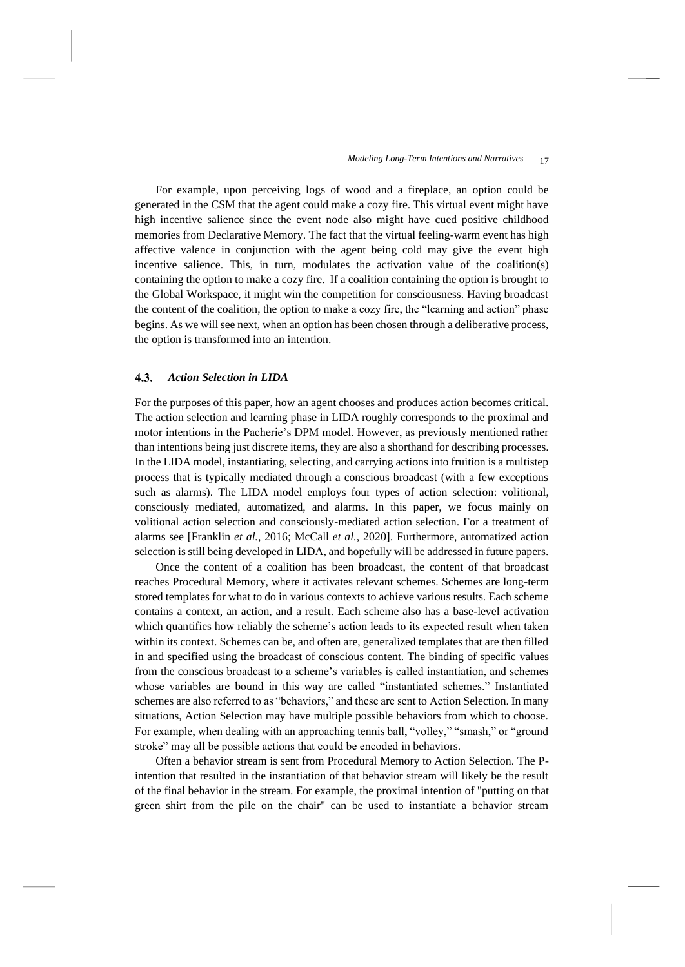For example, upon perceiving logs of wood and a fireplace, an option could be generated in the CSM that the agent could make a cozy fire. This virtual event might have high incentive salience since the event node also might have cued positive childhood memories from Declarative Memory. The fact that the virtual feeling-warm event has high affective valence in conjunction with the agent being cold may give the event high incentive salience. This, in turn, modulates the activation value of the coalition(s) containing the option to make a cozy fire. If a coalition containing the option is brought to the Global Workspace, it might win the competition for consciousness. Having broadcast the content of the coalition, the option to make a cozy fire, the "learning and action" phase begins. As we will see next, when an option has been chosen through a deliberative process, the option is transformed into an intention.

### $4.3.$ *Action Selection in LIDA*

For the purposes of this paper, how an agent chooses and produces action becomes critical. The action selection and learning phase in LIDA roughly corresponds to the proximal and motor intentions in the Pacherie's DPM model. However, as previously mentioned rather than intentions being just discrete items, they are also a shorthand for describing processes. In the LIDA model, instantiating, selecting, and carrying actions into fruition is a multistep process that is typically mediated through a conscious broadcast (with a few exceptions such as alarms). The LIDA model employs four types of action selection: volitional, consciously mediated, automatized, and alarms. In this paper, we focus mainly on volitional action selection and consciously-mediated action selection. For a treatment of alarms see [Franklin *et al.*, 2016; McCall *et al.*, 2020]. Furthermore, automatized action selection is still being developed in LIDA, and hopefully will be addressed in future papers.

Once the content of a coalition has been broadcast, the content of that broadcast reaches Procedural Memory, where it activates relevant schemes. Schemes are long-term stored templates for what to do in various contexts to achieve various results. Each scheme contains a context, an action, and a result. Each scheme also has a base-level activation which quantifies how reliably the scheme's action leads to its expected result when taken within its context. Schemes can be, and often are, generalized templates that are then filled in and specified using the broadcast of conscious content. The binding of specific values from the conscious broadcast to a scheme's variables is called instantiation, and schemes whose variables are bound in this way are called "instantiated schemes." Instantiated schemes are also referred to as "behaviors," and these are sent to Action Selection. In many situations, Action Selection may have multiple possible behaviors from which to choose. For example, when dealing with an approaching tennis ball, "volley," "smash," or "ground stroke" may all be possible actions that could be encoded in behaviors.

Often a behavior stream is sent from Procedural Memory to Action Selection. The Pintention that resulted in the instantiation of that behavior stream will likely be the result of the final behavior in the stream. For example, the proximal intention of "putting on that green shirt from the pile on the chair" can be used to instantiate a behavior stream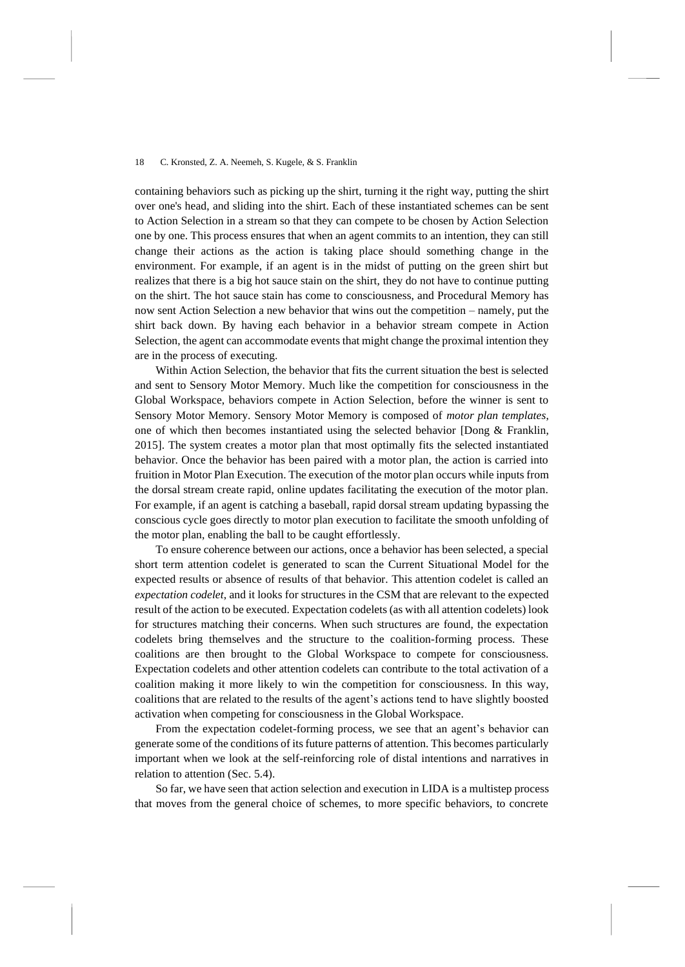containing behaviors such as picking up the shirt, turning it the right way, putting the shirt over one's head, and sliding into the shirt. Each of these instantiated schemes can be sent to Action Selection in a stream so that they can compete to be chosen by Action Selection one by one. This process ensures that when an agent commits to an intention, they can still change their actions as the action is taking place should something change in the environment. For example, if an agent is in the midst of putting on the green shirt but realizes that there is a big hot sauce stain on the shirt, they do not have to continue putting on the shirt. The hot sauce stain has come to consciousness, and Procedural Memory has now sent Action Selection a new behavior that wins out the competition – namely, put the shirt back down. By having each behavior in a behavior stream compete in Action Selection, the agent can accommodate events that might change the proximal intention they are in the process of executing.

Within Action Selection, the behavior that fits the current situation the best is selected and sent to Sensory Motor Memory. Much like the competition for consciousness in the Global Workspace, behaviors compete in Action Selection, before the winner is sent to Sensory Motor Memory. Sensory Motor Memory is composed of *motor plan templates*, one of which then becomes instantiated using the selected behavior [Dong & Franklin, 2015]. The system creates a motor plan that most optimally fits the selected instantiated behavior. Once the behavior has been paired with a motor plan, the action is carried into fruition in Motor Plan Execution. The execution of the motor plan occurs while inputs from the dorsal stream create rapid, online updates facilitating the execution of the motor plan. For example, if an agent is catching a baseball, rapid dorsal stream updating bypassing the conscious cycle goes directly to motor plan execution to facilitate the smooth unfolding of the motor plan, enabling the ball to be caught effortlessly.

To ensure coherence between our actions, once a behavior has been selected, a special short term attention codelet is generated to scan the Current Situational Model for the expected results or absence of results of that behavior. This attention codelet is called an *expectation codelet*, and it looks for structures in the CSM that are relevant to the expected result of the action to be executed. Expectation codelets (as with all attention codelets) look for structures matching their concerns. When such structures are found, the expectation codelets bring themselves and the structure to the coalition-forming process. These coalitions are then brought to the Global Workspace to compete for consciousness. Expectation codelets and other attention codelets can contribute to the total activation of a coalition making it more likely to win the competition for consciousness. In this way, coalitions that are related to the results of the agent's actions tend to have slightly boosted activation when competing for consciousness in the Global Workspace.

From the expectation codelet-forming process, we see that an agent's behavior can generate some of the conditions of its future patterns of attention. This becomes particularly important when we look at the self-reinforcing role of distal intentions and narratives in relation to attention (Sec. 5.4).

So far, we have seen that action selection and execution in LIDA is a multistep process that moves from the general choice of schemes, to more specific behaviors, to concrete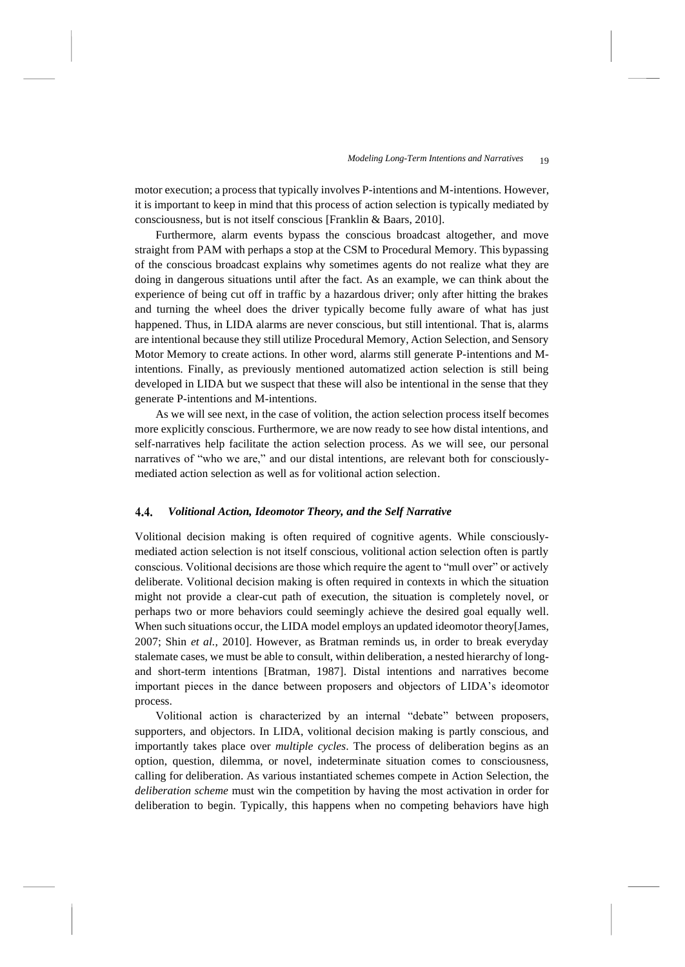motor execution; a process that typically involves P-intentions and M-intentions. However, it is important to keep in mind that this process of action selection is typically mediated by consciousness, but is not itself conscious [Franklin & Baars, 2010].

Furthermore, alarm events bypass the conscious broadcast altogether, and move straight from PAM with perhaps a stop at the CSM to Procedural Memory. This bypassing of the conscious broadcast explains why sometimes agents do not realize what they are doing in dangerous situations until after the fact. As an example, we can think about the experience of being cut off in traffic by a hazardous driver; only after hitting the brakes and turning the wheel does the driver typically become fully aware of what has just happened. Thus, in LIDA alarms are never conscious, but still intentional. That is, alarms are intentional because they still utilize Procedural Memory, Action Selection, and Sensory Motor Memory to create actions. In other word, alarms still generate P-intentions and Mintentions. Finally, as previously mentioned automatized action selection is still being developed in LIDA but we suspect that these will also be intentional in the sense that they generate P-intentions and M-intentions.

As we will see next, in the case of volition, the action selection process itself becomes more explicitly conscious. Furthermore, we are now ready to see how distal intentions, and self-narratives help facilitate the action selection process. As we will see, our personal narratives of "who we are," and our distal intentions, are relevant both for consciouslymediated action selection as well as for volitional action selection.

### 4.4. *Volitional Action, Ideomotor Theory, and the Self Narrative*

Volitional decision making is often required of cognitive agents. While consciouslymediated action selection is not itself conscious, volitional action selection often is partly conscious. Volitional decisions are those which require the agent to "mull over" or actively deliberate. Volitional decision making is often required in contexts in which the situation might not provide a clear-cut path of execution, the situation is completely novel, or perhaps two or more behaviors could seemingly achieve the desired goal equally well. When such situations occur, the LIDA model employs an updated ideomotor theory[James, 2007; Shin *et al.*, 2010]. However, as Bratman reminds us, in order to break everyday stalemate cases, we must be able to consult, within deliberation, a nested hierarchy of longand short-term intentions [Bratman, 1987]. Distal intentions and narratives become important pieces in the dance between proposers and objectors of LIDA's ideomotor process.

Volitional action is characterized by an internal "debate" between proposers, supporters, and objectors. In LIDA, volitional decision making is partly conscious, and importantly takes place over *multiple cycles*. The process of deliberation begins as an option, question, dilemma, or novel, indeterminate situation comes to consciousness, calling for deliberation. As various instantiated schemes compete in Action Selection, the *deliberation scheme* must win the competition by having the most activation in order for deliberation to begin. Typically, this happens when no competing behaviors have high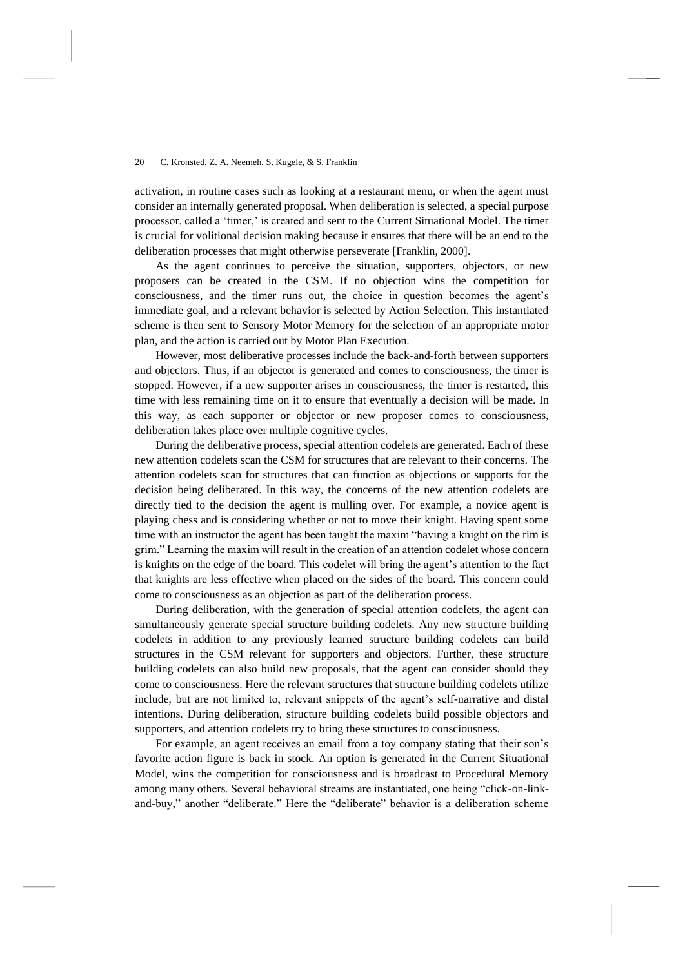activation, in routine cases such as looking at a restaurant menu, or when the agent must consider an internally generated proposal. When deliberation is selected, a special purpose processor, called a 'timer,' is created and sent to the Current Situational Model. The timer is crucial for volitional decision making because it ensures that there will be an end to the deliberation processes that might otherwise perseverate [Franklin, 2000].

As the agent continues to perceive the situation, supporters, objectors, or new proposers can be created in the CSM. If no objection wins the competition for consciousness, and the timer runs out, the choice in question becomes the agent's immediate goal, and a relevant behavior is selected by Action Selection. This instantiated scheme is then sent to Sensory Motor Memory for the selection of an appropriate motor plan, and the action is carried out by Motor Plan Execution.

However, most deliberative processes include the back-and-forth between supporters and objectors. Thus, if an objector is generated and comes to consciousness, the timer is stopped. However, if a new supporter arises in consciousness, the timer is restarted, this time with less remaining time on it to ensure that eventually a decision will be made. In this way, as each supporter or objector or new proposer comes to consciousness, deliberation takes place over multiple cognitive cycles.

During the deliberative process, special attention codelets are generated. Each of these new attention codelets scan the CSM for structures that are relevant to their concerns. The attention codelets scan for structures that can function as objections or supports for the decision being deliberated. In this way, the concerns of the new attention codelets are directly tied to the decision the agent is mulling over. For example, a novice agent is playing chess and is considering whether or not to move their knight. Having spent some time with an instructor the agent has been taught the maxim "having a knight on the rim is grim." Learning the maxim will result in the creation of an attention codelet whose concern is knights on the edge of the board. This codelet will bring the agent's attention to the fact that knights are less effective when placed on the sides of the board. This concern could come to consciousness as an objection as part of the deliberation process.

During deliberation, with the generation of special attention codelets, the agent can simultaneously generate special structure building codelets. Any new structure building codelets in addition to any previously learned structure building codelets can build structures in the CSM relevant for supporters and objectors. Further, these structure building codelets can also build new proposals, that the agent can consider should they come to consciousness. Here the relevant structures that structure building codelets utilize include, but are not limited to, relevant snippets of the agent's self-narrative and distal intentions. During deliberation, structure building codelets build possible objectors and supporters, and attention codelets try to bring these structures to consciousness.

For example, an agent receives an email from a toy company stating that their son's favorite action figure is back in stock. An option is generated in the Current Situational Model, wins the competition for consciousness and is broadcast to Procedural Memory among many others. Several behavioral streams are instantiated, one being "click-on-linkand-buy," another "deliberate." Here the "deliberate" behavior is a deliberation scheme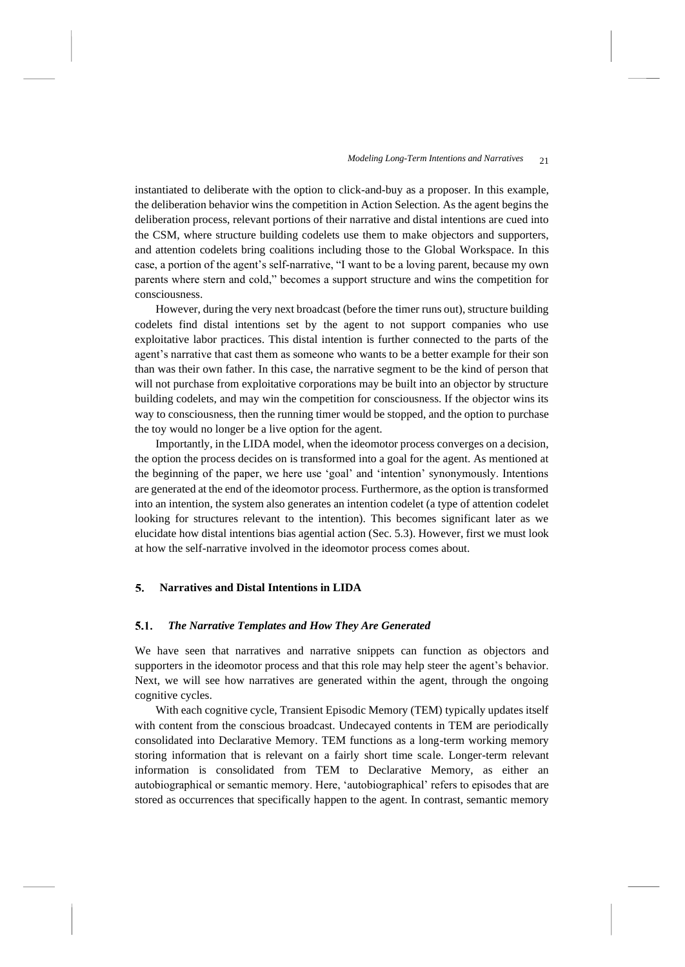instantiated to deliberate with the option to click-and-buy as a proposer. In this example, the deliberation behavior wins the competition in Action Selection. As the agent begins the deliberation process, relevant portions of their narrative and distal intentions are cued into the CSM, where structure building codelets use them to make objectors and supporters, and attention codelets bring coalitions including those to the Global Workspace. In this case, a portion of the agent's self-narrative, "I want to be a loving parent, because my own parents where stern and cold," becomes a support structure and wins the competition for consciousness.

However, during the very next broadcast (before the timer runs out), structure building codelets find distal intentions set by the agent to not support companies who use exploitative labor practices. This distal intention is further connected to the parts of the agent's narrative that cast them as someone who wants to be a better example for their son than was their own father. In this case, the narrative segment to be the kind of person that will not purchase from exploitative corporations may be built into an objector by structure building codelets, and may win the competition for consciousness. If the objector wins its way to consciousness, then the running timer would be stopped, and the option to purchase the toy would no longer be a live option for the agent.

Importantly, in the LIDA model, when the ideomotor process converges on a decision, the option the process decides on is transformed into a goal for the agent. As mentioned at the beginning of the paper, we here use 'goal' and 'intention' synonymously. Intentions are generated at the end of the ideomotor process. Furthermore, as the option is transformed into an intention, the system also generates an intention codelet (a type of attention codelet looking for structures relevant to the intention). This becomes significant later as we elucidate how distal intentions bias agential action (Sec. 5.3). However, first we must look at how the self-narrative involved in the ideomotor process comes about.

### **Narratives and Distal Intentions in LIDA** 5.

#### 5.1. *The Narrative Templates and How They Are Generated*

We have seen that narratives and narrative snippets can function as objectors and supporters in the ideomotor process and that this role may help steer the agent's behavior. Next, we will see how narratives are generated within the agent, through the ongoing cognitive cycles.

With each cognitive cycle, Transient Episodic Memory (TEM) typically updates itself with content from the conscious broadcast. Undecayed contents in TEM are periodically consolidated into Declarative Memory. TEM functions as a long-term working memory storing information that is relevant on a fairly short time scale. Longer-term relevant information is consolidated from TEM to Declarative Memory, as either an autobiographical or semantic memory. Here, 'autobiographical' refers to episodes that are stored as occurrences that specifically happen to the agent. In contrast, semantic memory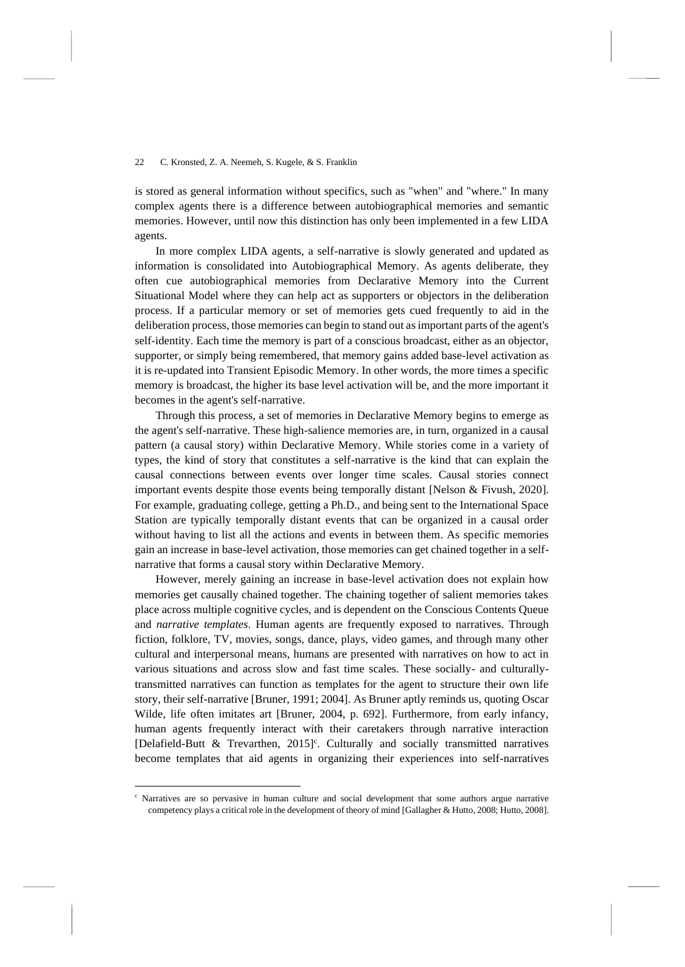is stored as general information without specifics, such as "when" and "where." In many complex agents there is a difference between autobiographical memories and semantic memories. However, until now this distinction has only been implemented in a few LIDA agents.

In more complex LIDA agents, a self-narrative is slowly generated and updated as information is consolidated into Autobiographical Memory. As agents deliberate, they often cue autobiographical memories from Declarative Memory into the Current Situational Model where they can help act as supporters or objectors in the deliberation process. If a particular memory or set of memories gets cued frequently to aid in the deliberation process, those memories can begin to stand out as important parts of the agent's self-identity. Each time the memory is part of a conscious broadcast, either as an objector, supporter, or simply being remembered, that memory gains added base-level activation as it is re-updated into Transient Episodic Memory. In other words, the more times a specific memory is broadcast, the higher its base level activation will be, and the more important it becomes in the agent's self-narrative.

Through this process, a set of memories in Declarative Memory begins to emerge as the agent's self-narrative. These high-salience memories are, in turn, organized in a causal pattern (a causal story) within Declarative Memory. While stories come in a variety of types, the kind of story that constitutes a self-narrative is the kind that can explain the causal connections between events over longer time scales. Causal stories connect important events despite those events being temporally distant [Nelson & Fivush, 2020]. For example, graduating college, getting a Ph.D., and being sent to the International Space Station are typically temporally distant events that can be organized in a causal order without having to list all the actions and events in between them. As specific memories gain an increase in base-level activation, those memories can get chained together in a selfnarrative that forms a causal story within Declarative Memory.

However, merely gaining an increase in base-level activation does not explain how memories get causally chained together. The chaining together of salient memories takes place across multiple cognitive cycles, and is dependent on the Conscious Contents Queue and *narrative templates*. Human agents are frequently exposed to narratives. Through fiction, folklore, TV, movies, songs, dance, plays, video games, and through many other cultural and interpersonal means, humans are presented with narratives on how to act in various situations and across slow and fast time scales. These socially- and culturallytransmitted narratives can function as templates for the agent to structure their own life story, their self-narrative [Bruner, 1991; 2004]. As Bruner aptly reminds us, quoting Oscar Wilde, life often imitates art [Bruner, 2004, p. 692]. Furthermore, from early infancy, human agents frequently interact with their caretakers through narrative interaction [Delafield-Butt & Trevarthen, 2015]<sup>c</sup>. Culturally and socially transmitted narratives become templates that aid agents in organizing their experiences into self-narratives

Narratives are so pervasive in human culture and social development that some authors argue narrative competency plays a critical role in the development of theory of mind [Gallagher & Hutto, 2008; Hutto, 2008].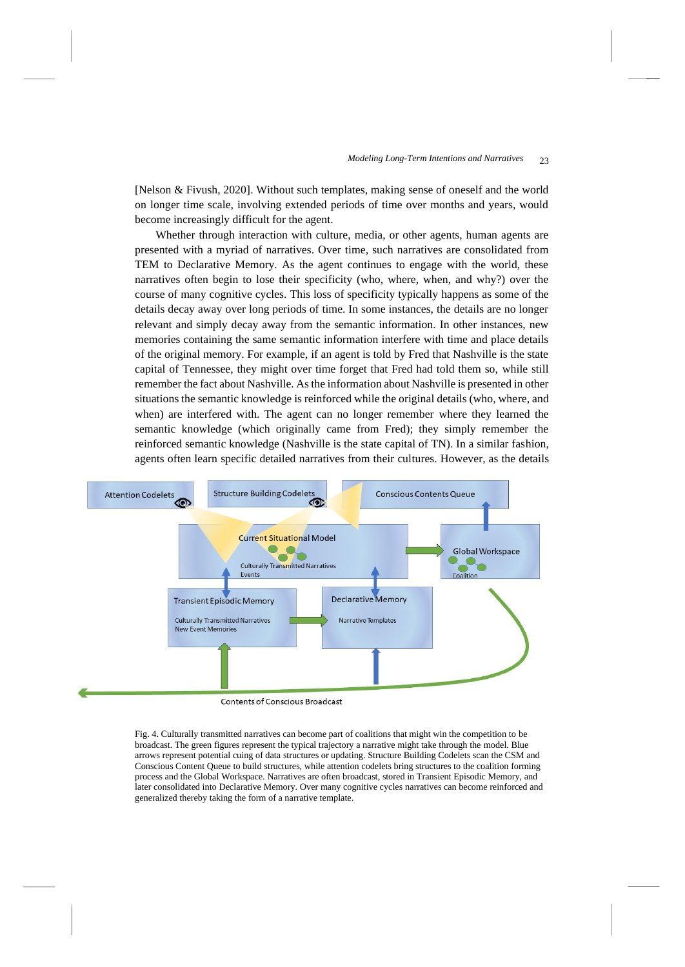[Nelson & Fivush, 2020]. Without such templates, making sense of oneself and the world on longer time scale, involving extended periods of time over months and years, would become increasingly difficult for the agent.

Whether through interaction with culture, media, or other agents, human agents are presented with a myriad of narratives. Over time, such narratives are consolidated from TEM to Declarative Memory. As the agent continues to engage with the world, these narratives often begin to lose their specificity (who, where, when, and why?) over the course of many cognitive cycles. This loss of specificity typically happens as some of the details decay away over long periods of time. In some instances, the details are no longer relevant and simply decay away from the semantic information. In other instances, new memories containing the same semantic information interfere with time and place details of the original memory. For example, if an agent is told by Fred that Nashville is the state capital of Tennessee, they might over time forget that Fred had told them so, while still remember the fact about Nashville. As the information about Nashville is presented in other situations the semantic knowledge is reinforced while the original details (who, where, and when) are interfered with. The agent can no longer remember where they learned the semantic knowledge (which originally came from Fred); they simply remember the reinforced semantic knowledge (Nashville is the state capital of TN). In a similar fashion, agents often learn specific detailed narratives from their cultures. However, as the details



<span id="page-22-0"></span>Fig. 4. Culturally transmitted narratives can become part of coalitions that might win the competition to be broadcast. The green figures represent the typical trajectory a narrative might take through the model. Blue arrows represent potential cuing of data structures or updating. Structure Building Codelets scan the CSM and Conscious Content Queue to build structures, while attention codelets bring structures to the coalition forming process and the Global Workspace. Narratives are often broadcast, stored in Transient Episodic Memory, and later consolidated into Declarative Memory. Over many cognitive cycles narratives can become reinforced and generalized thereby taking the form of a narrative template.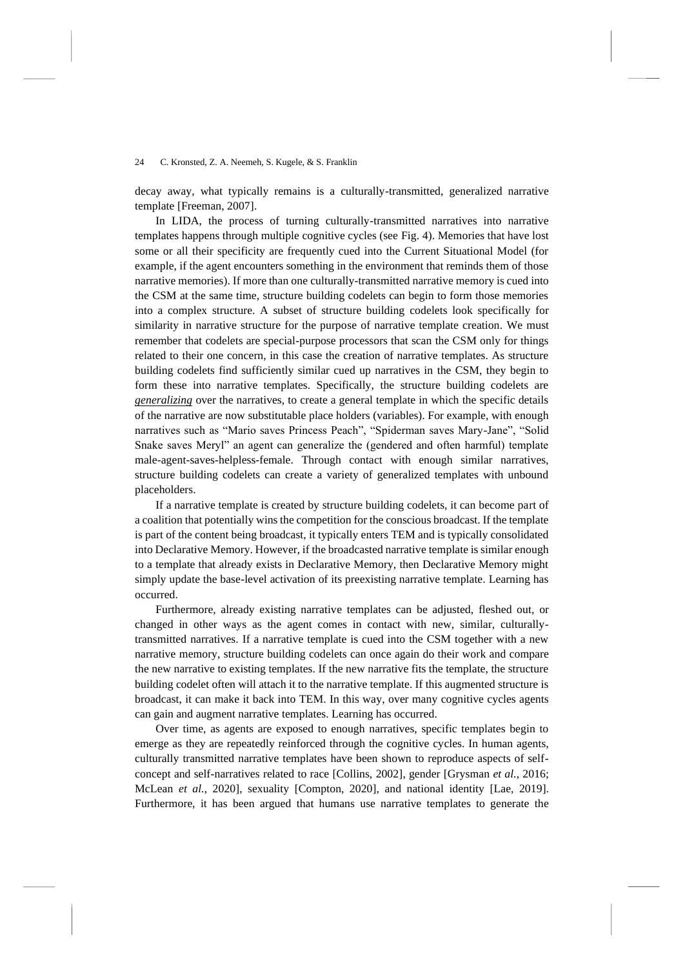decay away, what typically remains is a culturally-transmitted, generalized narrative template [Freeman, 2007].

In LIDA, the process of turning culturally-transmitted narratives into narrative templates happens through multiple cognitive cycles (see [Fig.](#page-22-0) 4). Memories that have lost some or all their specificity are frequently cued into the Current Situational Model (for example, if the agent encounters something in the environment that reminds them of those narrative memories). If more than one culturally-transmitted narrative memory is cued into the CSM at the same time, structure building codelets can begin to form those memories into a complex structure. A subset of structure building codelets look specifically for similarity in narrative structure for the purpose of narrative template creation. We must remember that codelets are special-purpose processors that scan the CSM only for things related to their one concern, in this case the creation of narrative templates. As structure building codelets find sufficiently similar cued up narratives in the CSM, they begin to form these into narrative templates. Specifically, the structure building codelets are *generalizing* over the narratives, to create a general template in which the specific details of the narrative are now substitutable place holders (variables). For example, with enough narratives such as "Mario saves Princess Peach", "Spiderman saves Mary-Jane", "Solid Snake saves Meryl" an agent can generalize the (gendered and often harmful) template male-agent-saves-helpless-female. Through contact with enough similar narratives, structure building codelets can create a variety of generalized templates with unbound placeholders.

If a narrative template is created by structure building codelets, it can become part of a coalition that potentially wins the competition for the conscious broadcast. If the template is part of the content being broadcast, it typically enters TEM and is typically consolidated into Declarative Memory. However, if the broadcasted narrative template is similar enough to a template that already exists in Declarative Memory, then Declarative Memory might simply update the base-level activation of its preexisting narrative template. Learning has occurred.

Furthermore, already existing narrative templates can be adjusted, fleshed out, or changed in other ways as the agent comes in contact with new, similar, culturallytransmitted narratives. If a narrative template is cued into the CSM together with a new narrative memory, structure building codelets can once again do their work and compare the new narrative to existing templates. If the new narrative fits the template, the structure building codelet often will attach it to the narrative template. If this augmented structure is broadcast, it can make it back into TEM. In this way, over many cognitive cycles agents can gain and augment narrative templates. Learning has occurred.

Over time, as agents are exposed to enough narratives, specific templates begin to emerge as they are repeatedly reinforced through the cognitive cycles. In human agents, culturally transmitted narrative templates have been shown to reproduce aspects of selfconcept and self-narratives related to race [Collins, 2002], gender [Grysman *et al.*, 2016; McLean *et al.*, 2020], sexuality [Compton, 2020], and national identity [Lae, 2019]. Furthermore, it has been argued that humans use narrative templates to generate the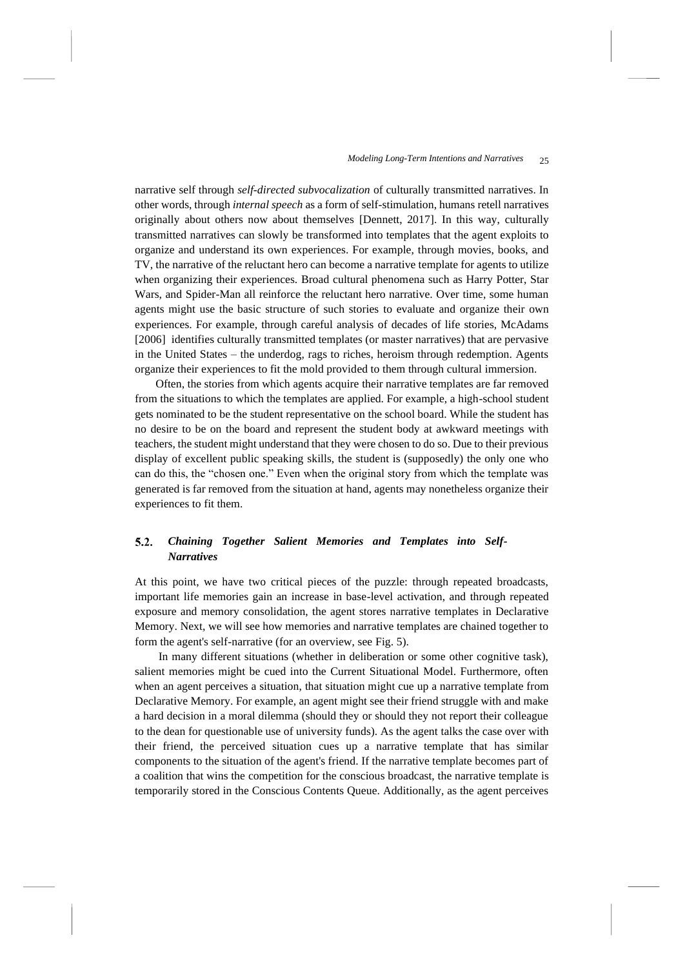narrative self through *self-directed subvocalization* of culturally transmitted narratives. In other words, through *internal speech* as a form of self-stimulation, humans retell narratives originally about others now about themselves [Dennett, 2017]. In this way, culturally transmitted narratives can slowly be transformed into templates that the agent exploits to organize and understand its own experiences. For example, through movies, books, and TV, the narrative of the reluctant hero can become a narrative template for agents to utilize when organizing their experiences. Broad cultural phenomena such as Harry Potter, Star Wars, and Spider-Man all reinforce the reluctant hero narrative. Over time, some human agents might use the basic structure of such stories to evaluate and organize their own experiences. For example, through careful analysis of decades of life stories, McAdams [2006] identifies culturally transmitted templates (or master narratives) that are pervasive in the United States – the underdog, rags to riches, heroism through redemption. Agents organize their experiences to fit the mold provided to them through cultural immersion.

Often, the stories from which agents acquire their narrative templates are far removed from the situations to which the templates are applied. For example, a high-school student gets nominated to be the student representative on the school board. While the student has no desire to be on the board and represent the student body at awkward meetings with teachers, the student might understand that they were chosen to do so. Due to their previous display of excellent public speaking skills, the student is (supposedly) the only one who can do this, the "chosen one." Even when the original story from which the template was generated is far removed from the situation at hand, agents may nonetheless organize their experiences to fit them.

### $5.2.$ *Chaining Together Salient Memories and Templates into Self-Narratives*

At this point, we have two critical pieces of the puzzle: through repeated broadcasts, important life memories gain an increase in base-level activation, and through repeated exposure and memory consolidation, the agent stores narrative templates in Declarative Memory. Next, we will see how memories and narrative templates are chained together to form the agent's self-narrative (for an overview, see [Fig.](#page-25-0) 5).

In many different situations (whether in deliberation or some other cognitive task), salient memories might be cued into the Current Situational Model. Furthermore, often when an agent perceives a situation, that situation might cue up a narrative template from Declarative Memory. For example, an agent might see their friend struggle with and make a hard decision in a moral dilemma (should they or should they not report their colleague to the dean for questionable use of university funds). As the agent talks the case over with their friend, the perceived situation cues up a narrative template that has similar components to the situation of the agent's friend. If the narrative template becomes part of a coalition that wins the competition for the conscious broadcast, the narrative template is temporarily stored in the Conscious Contents Queue. Additionally, as the agent perceives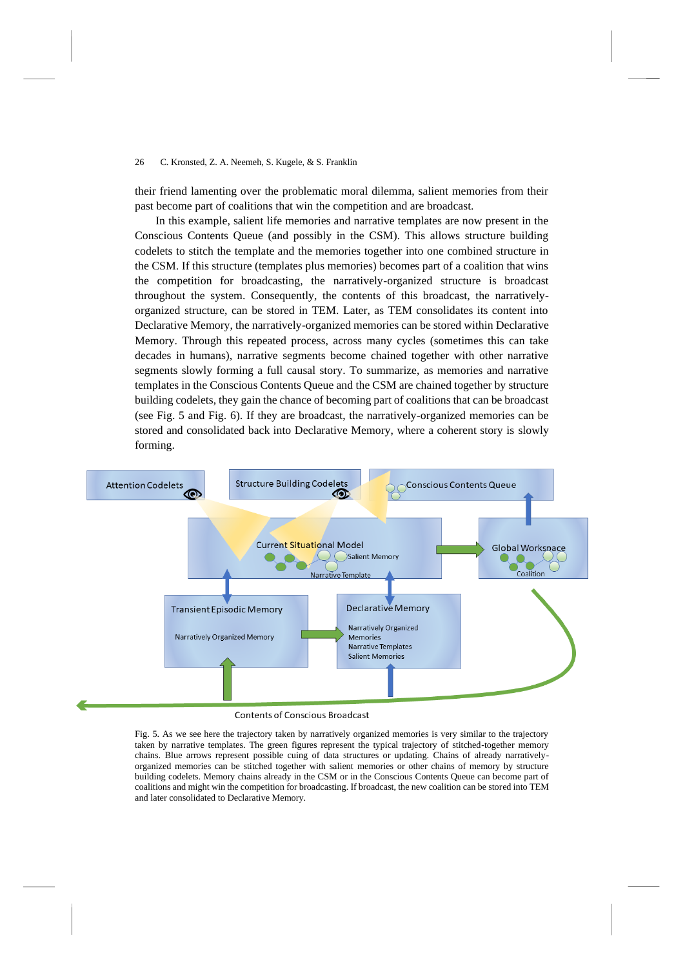their friend lamenting over the problematic moral dilemma, salient memories from their past become part of coalitions that win the competition and are broadcast.

In this example, salient life memories and narrative templates are now present in the Conscious Contents Queue (and possibly in the CSM). This allows structure building codelets to stitch the template and the memories together into one combined structure in the CSM. If this structure (templates plus memories) becomes part of a coalition that wins the competition for broadcasting, the narratively-organized structure is broadcast throughout the system. Consequently, the contents of this broadcast, the narrativelyorganized structure, can be stored in TEM. Later, as TEM consolidates its content into Declarative Memory, the narratively-organized memories can be stored within Declarative Memory. Through this repeated process, across many cycles (sometimes this can take decades in humans), narrative segments become chained together with other narrative segments slowly forming a full causal story. To summarize, as memories and narrative templates in the Conscious Contents Queue and the CSM are chained together by structure building codelets, they gain the chance of becoming part of coalitions that can be broadcast (see [Fig.](#page-25-0) 5 and [Fig.](#page-27-0) 6). If they are broadcast, the narratively-organized memories can be stored and consolidated back into Declarative Memory, where a coherent story is slowly forming.



<span id="page-25-0"></span>Fig. 5. As we see here the trajectory taken by narratively organized memories is very similar to the trajectory taken by narrative templates. The green figures represent the typical trajectory of stitched-together memory chains. Blue arrows represent possible cuing of data structures or updating. Chains of already narrativelyorganized memories can be stitched together with salient memories or other chains of memory by structure building codelets. Memory chains already in the CSM or in the Conscious Contents Queue can become part of coalitions and might win the competition for broadcasting. If broadcast, the new coalition can be stored into TEM

and later consolidated to Declarative Memory.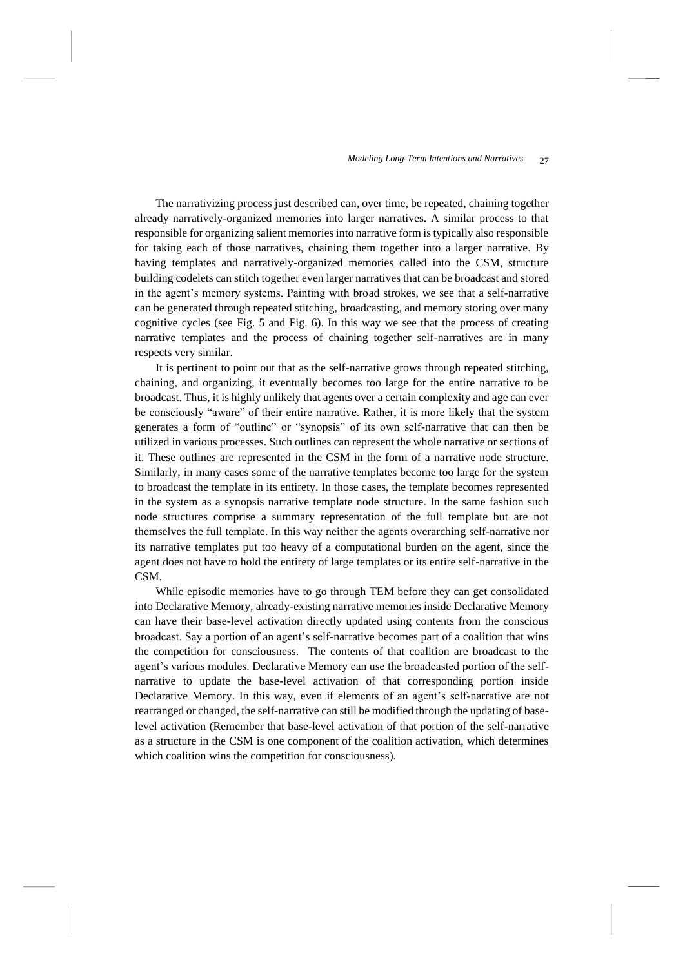The narrativizing process just described can, over time, be repeated, chaining together already narratively-organized memories into larger narratives. A similar process to that responsible for organizing salient memories into narrative form is typically also responsible for taking each of those narratives, chaining them together into a larger narrative. By having templates and narratively-organized memories called into the CSM, structure building codelets can stitch together even larger narratives that can be broadcast and stored in the agent's memory systems. Painting with broad strokes, we see that a self-narrative can be generated through repeated stitching, broadcasting, and memory storing over many cognitive cycles (see [Fig.](#page-25-0) 5 and [Fig.](#page-27-0) 6). In this way we see that the process of creating narrative templates and the process of chaining together self-narratives are in many respects very similar.

It is pertinent to point out that as the self-narrative grows through repeated stitching, chaining, and organizing, it eventually becomes too large for the entire narrative to be broadcast. Thus, it is highly unlikely that agents over a certain complexity and age can ever be consciously "aware" of their entire narrative. Rather, it is more likely that the system generates a form of "outline" or "synopsis" of its own self-narrative that can then be utilized in various processes. Such outlines can represent the whole narrative or sections of it. These outlines are represented in the CSM in the form of a narrative node structure. Similarly, in many cases some of the narrative templates become too large for the system to broadcast the template in its entirety. In those cases, the template becomes represented in the system as a synopsis narrative template node structure. In the same fashion such node structures comprise a summary representation of the full template but are not themselves the full template. In this way neither the agents overarching self-narrative nor its narrative templates put too heavy of a computational burden on the agent, since the agent does not have to hold the entirety of large templates or its entire self-narrative in the CSM.

While episodic memories have to go through TEM before they can get consolidated into Declarative Memory, already-existing narrative memories inside Declarative Memory can have their base-level activation directly updated using contents from the conscious broadcast. Say a portion of an agent's self-narrative becomes part of a coalition that wins the competition for consciousness. The contents of that coalition are broadcast to the agent's various modules. Declarative Memory can use the broadcasted portion of the selfnarrative to update the base-level activation of that corresponding portion inside Declarative Memory. In this way, even if elements of an agent's self-narrative are not rearranged or changed, the self-narrative can still be modified through the updating of baselevel activation (Remember that base-level activation of that portion of the self-narrative as a structure in the CSM is one component of the coalition activation, which determines which coalition wins the competition for consciousness).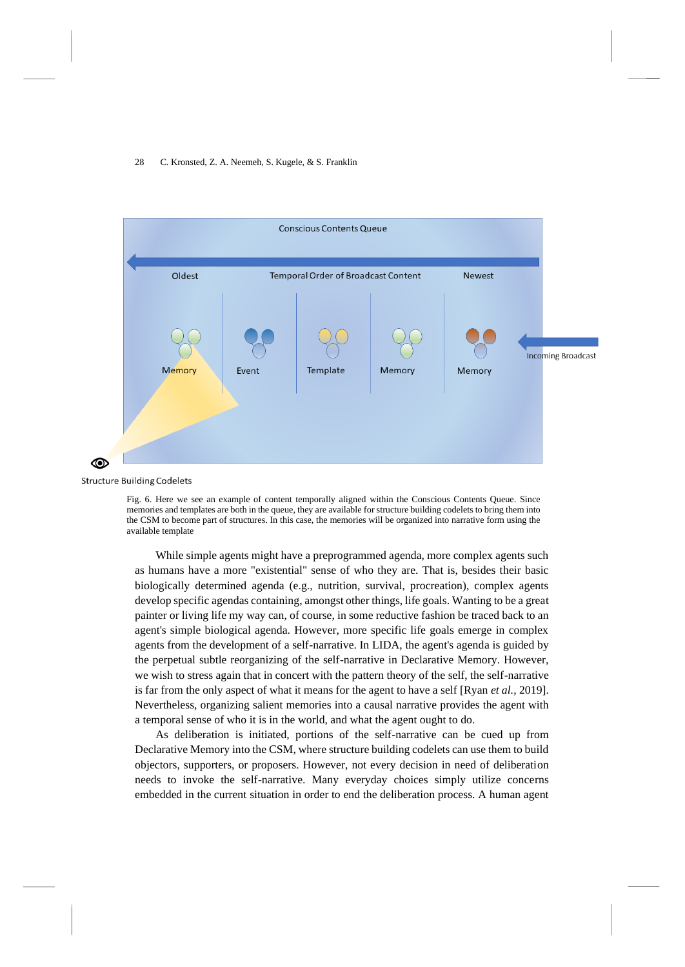

**Structure Building Codelets** 

<span id="page-27-0"></span>Fig. 6. Here we see an example of content temporally aligned within the Conscious Contents Queue. Since memories and templates are both in the queue, they are available for structure building codelets to bring them into the CSM to become part of structures. In this case, the memories will be organized into narrative form using the available template

While simple agents might have a preprogrammed agenda, more complex agents such as humans have a more "existential" sense of who they are. That is, besides their basic biologically determined agenda (e.g., nutrition, survival, procreation), complex agents develop specific agendas containing, amongst other things, life goals. Wanting to be a great painter or living life my way can, of course, in some reductive fashion be traced back to an agent's simple biological agenda. However, more specific life goals emerge in complex agents from the development of a self-narrative. In LIDA, the agent's agenda is guided by the perpetual subtle reorganizing of the self-narrative in Declarative Memory. However, we wish to stress again that in concert with the pattern theory of the self, the self-narrative is far from the only aspect of what it means for the agent to have a self [Ryan *et al.*, 2019]. Nevertheless, organizing salient memories into a causal narrative provides the agent with a temporal sense of who it is in the world, and what the agent ought to do.

As deliberation is initiated, portions of the self-narrative can be cued up from Declarative Memory into the CSM, where structure building codelets can use them to build objectors, supporters, or proposers. However, not every decision in need of deliberation needs to invoke the self-narrative. Many everyday choices simply utilize concerns embedded in the current situation in order to end the deliberation process. A human agent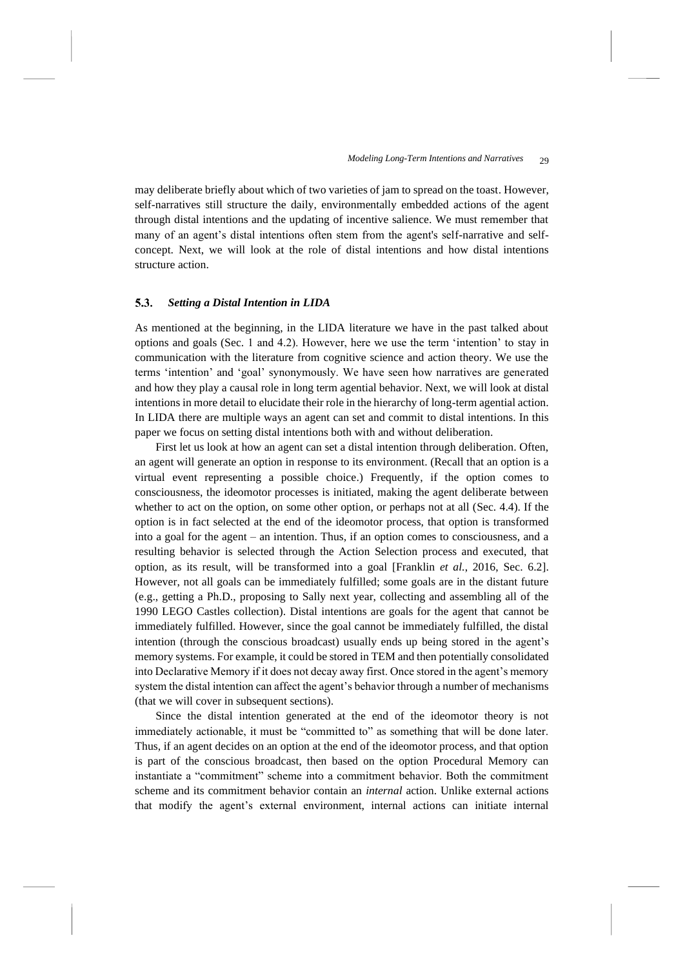may deliberate briefly about which of two varieties of jam to spread on the toast. However, self-narratives still structure the daily, environmentally embedded actions of the agent through distal intentions and the updating of incentive salience. We must remember that many of an agent's distal intentions often stem from the agent's self-narrative and selfconcept. Next, we will look at the role of distal intentions and how distal intentions structure action.

### $5.3.$ *Setting a Distal Intention in LIDA*

As mentioned at the beginning, in the LIDA literature we have in the past talked about options and goals (Sec. 1 and 4.2). However, here we use the term 'intention' to stay in communication with the literature from cognitive science and action theory. We use the terms 'intention' and 'goal' synonymously. We have seen how narratives are generated and how they play a causal role in long term agential behavior. Next, we will look at distal intentions in more detail to elucidate their role in the hierarchy of long-term agential action. In LIDA there are multiple ways an agent can set and commit to distal intentions. In this paper we focus on setting distal intentions both with and without deliberation.

First let us look at how an agent can set a distal intention through deliberation. Often, an agent will generate an option in response to its environment. (Recall that an option is a virtual event representing a possible choice.) Frequently, if the option comes to consciousness, the ideomotor processes is initiated, making the agent deliberate between whether to act on the option, on some other option, or perhaps not at all (Sec. 4.4). If the option is in fact selected at the end of the ideomotor process, that option is transformed into a goal for the agent – an intention. Thus, if an option comes to consciousness, and a resulting behavior is selected through the Action Selection process and executed, that option, as its result, will be transformed into a goal [Franklin *et al.*, 2016, Sec. 6.2]. However, not all goals can be immediately fulfilled; some goals are in the distant future (e.g., getting a Ph.D., proposing to Sally next year, collecting and assembling all of the 1990 LEGO Castles collection). Distal intentions are goals for the agent that cannot be immediately fulfilled. However, since the goal cannot be immediately fulfilled, the distal intention (through the conscious broadcast) usually ends up being stored in the agent's memory systems. For example, it could be stored in TEM and then potentially consolidated into Declarative Memory if it does not decay away first. Once stored in the agent's memory system the distal intention can affect the agent's behavior through a number of mechanisms (that we will cover in subsequent sections).

Since the distal intention generated at the end of the ideomotor theory is not immediately actionable, it must be "committed to" as something that will be done later. Thus, if an agent decides on an option at the end of the ideomotor process, and that option is part of the conscious broadcast, then based on the option Procedural Memory can instantiate a "commitment" scheme into a commitment behavior. Both the commitment scheme and its commitment behavior contain an *internal* action. Unlike external actions that modify the agent's external environment, internal actions can initiate internal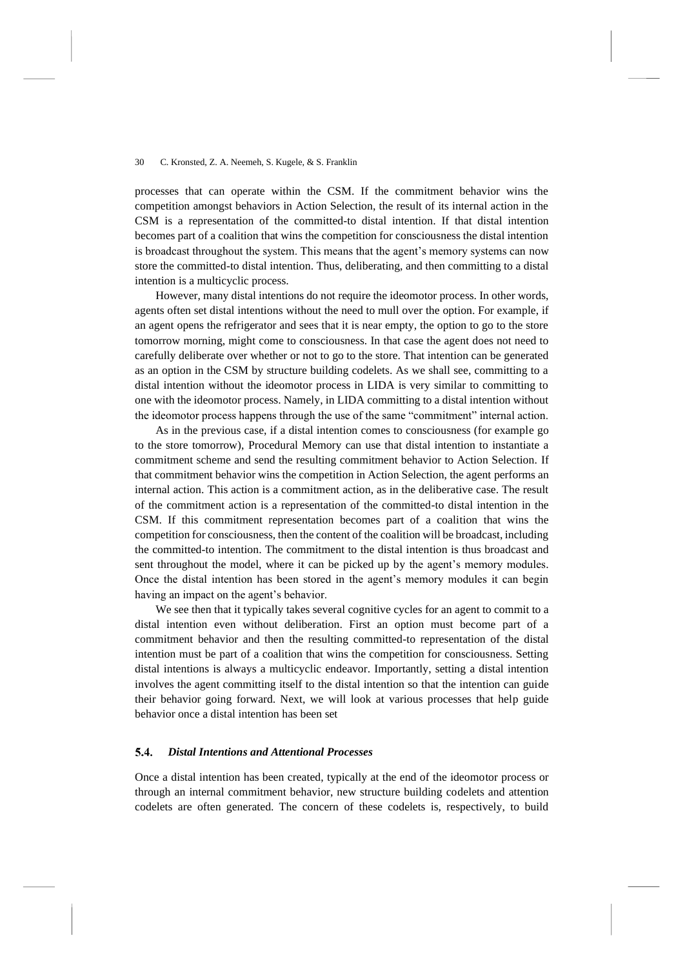processes that can operate within the CSM. If the commitment behavior wins the competition amongst behaviors in Action Selection, the result of its internal action in the CSM is a representation of the committed-to distal intention. If that distal intention becomes part of a coalition that wins the competition for consciousness the distal intention is broadcast throughout the system. This means that the agent's memory systems can now store the committed-to distal intention. Thus, deliberating, and then committing to a distal intention is a multicyclic process.

However, many distal intentions do not require the ideomotor process. In other words, agents often set distal intentions without the need to mull over the option. For example, if an agent opens the refrigerator and sees that it is near empty, the option to go to the store tomorrow morning, might come to consciousness. In that case the agent does not need to carefully deliberate over whether or not to go to the store. That intention can be generated as an option in the CSM by structure building codelets. As we shall see, committing to a distal intention without the ideomotor process in LIDA is very similar to committing to one with the ideomotor process. Namely, in LIDA committing to a distal intention without the ideomotor process happens through the use of the same "commitment" internal action.

As in the previous case, if a distal intention comes to consciousness (for example go to the store tomorrow), Procedural Memory can use that distal intention to instantiate a commitment scheme and send the resulting commitment behavior to Action Selection. If that commitment behavior wins the competition in Action Selection, the agent performs an internal action. This action is a commitment action, as in the deliberative case. The result of the commitment action is a representation of the committed-to distal intention in the CSM. If this commitment representation becomes part of a coalition that wins the competition for consciousness, then the content of the coalition will be broadcast, including the committed-to intention. The commitment to the distal intention is thus broadcast and sent throughout the model, where it can be picked up by the agent's memory modules. Once the distal intention has been stored in the agent's memory modules it can begin having an impact on the agent's behavior.

We see then that it typically takes several cognitive cycles for an agent to commit to a distal intention even without deliberation. First an option must become part of a commitment behavior and then the resulting committed-to representation of the distal intention must be part of a coalition that wins the competition for consciousness. Setting distal intentions is always a multicyclic endeavor. Importantly, setting a distal intention involves the agent committing itself to the distal intention so that the intention can guide their behavior going forward. Next, we will look at various processes that help guide behavior once a distal intention has been set

### *Distal Intentions and Attentional Processes*  5.4.

Once a distal intention has been created, typically at the end of the ideomotor process or through an internal commitment behavior, new structure building codelets and attention codelets are often generated. The concern of these codelets is, respectively, to build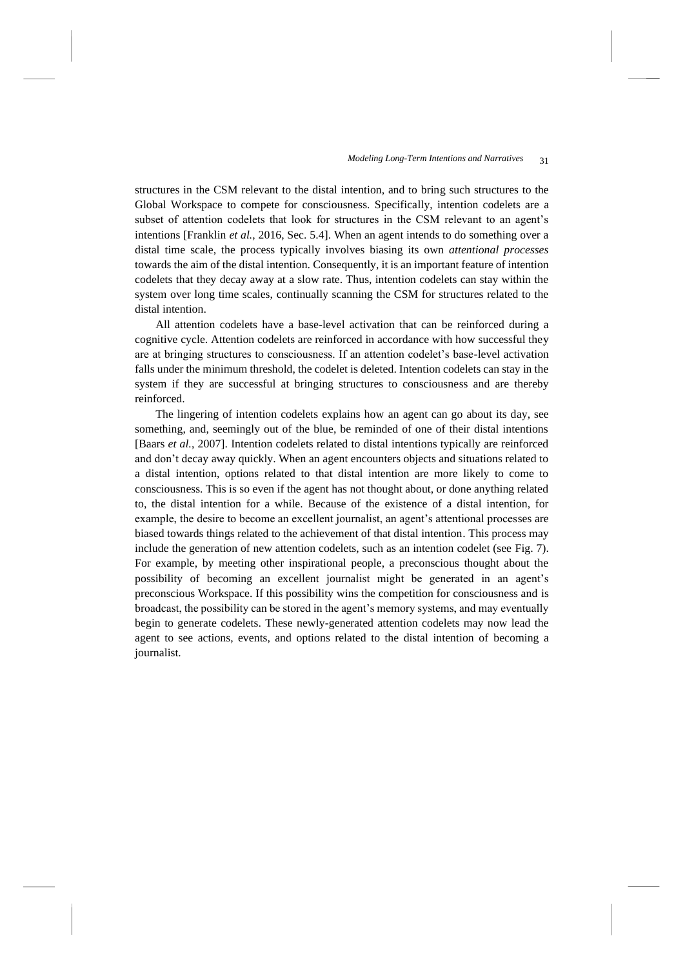structures in the CSM relevant to the distal intention, and to bring such structures to the Global Workspace to compete for consciousness. Specifically, intention codelets are a subset of attention codelets that look for structures in the CSM relevant to an agent's intentions [Franklin *et al.*, 2016, Sec. 5.4]. When an agent intends to do something over a distal time scale, the process typically involves biasing its own *attentional processes* towards the aim of the distal intention. Consequently, it is an important feature of intention codelets that they decay away at a slow rate. Thus, intention codelets can stay within the system over long time scales, continually scanning the CSM for structures related to the distal intention.

All attention codelets have a base-level activation that can be reinforced during a cognitive cycle. Attention codelets are reinforced in accordance with how successful they are at bringing structures to consciousness. If an attention codelet's base-level activation falls under the minimum threshold, the codelet is deleted. Intention codelets can stay in the system if they are successful at bringing structures to consciousness and are thereby reinforced.

The lingering of intention codelets explains how an agent can go about its day, see something, and, seemingly out of the blue, be reminded of one of their distal intentions [Baars *et al.*, 2007]. Intention codelets related to distal intentions typically are reinforced and don't decay away quickly. When an agent encounters objects and situations related to a distal intention, options related to that distal intention are more likely to come to consciousness. This is so even if the agent has not thought about, or done anything related to, the distal intention for a while. Because of the existence of a distal intention, for example, the desire to become an excellent journalist, an agent's attentional processes are biased towards things related to the achievement of that distal intention. This process may include the generation of new attention codelets, such as an intention codelet (see [Fig.](#page-31-0) 7). For example, by meeting other inspirational people, a preconscious thought about the possibility of becoming an excellent journalist might be generated in an agent's preconscious Workspace. If this possibility wins the competition for consciousness and is broadcast, the possibility can be stored in the agent's memory systems, and may eventually begin to generate codelets. These newly-generated attention codelets may now lead the agent to see actions, events, and options related to the distal intention of becoming a journalist.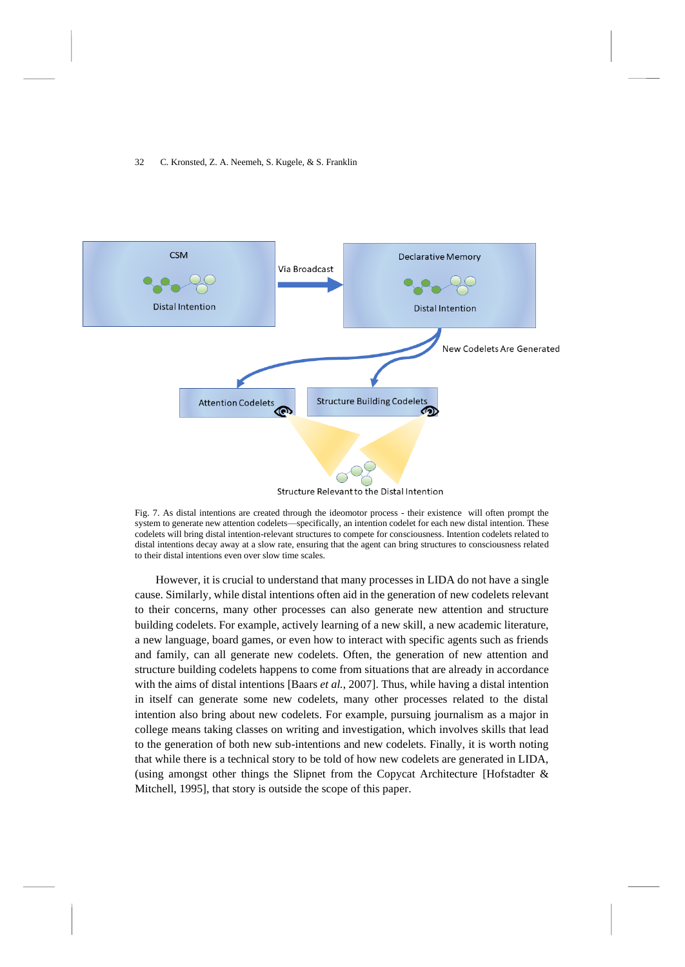

<span id="page-31-0"></span>Fig. 7. As distal intentions are created through the ideomotor process - their existence will often prompt the system to generate new attention codelets—specifically, an intention codelet for each new distal intention. These codelets will bring distal intention-relevant structures to compete for consciousness. Intention codelets related to distal intentions decay away at a slow rate, ensuring that the agent can bring structures to consciousness related to their distal intentions even over slow time scales.

However, it is crucial to understand that many processes in LIDA do not have a single cause. Similarly, while distal intentions often aid in the generation of new codelets relevant to their concerns, many other processes can also generate new attention and structure building codelets. For example, actively learning of a new skill, a new academic literature, a new language, board games, or even how to interact with specific agents such as friends and family, can all generate new codelets. Often, the generation of new attention and structure building codelets happens to come from situations that are already in accordance with the aims of distal intentions [Baars *et al.*, 2007]. Thus, while having a distal intention in itself can generate some new codelets, many other processes related to the distal intention also bring about new codelets. For example, pursuing journalism as a major in college means taking classes on writing and investigation, which involves skills that lead to the generation of both new sub-intentions and new codelets. Finally, it is worth noting that while there is a technical story to be told of how new codelets are generated in LIDA, (using amongst other things the Slipnet from the Copycat Architecture [Hofstadter  $\&$ Mitchell, 1995], that story is outside the scope of this paper.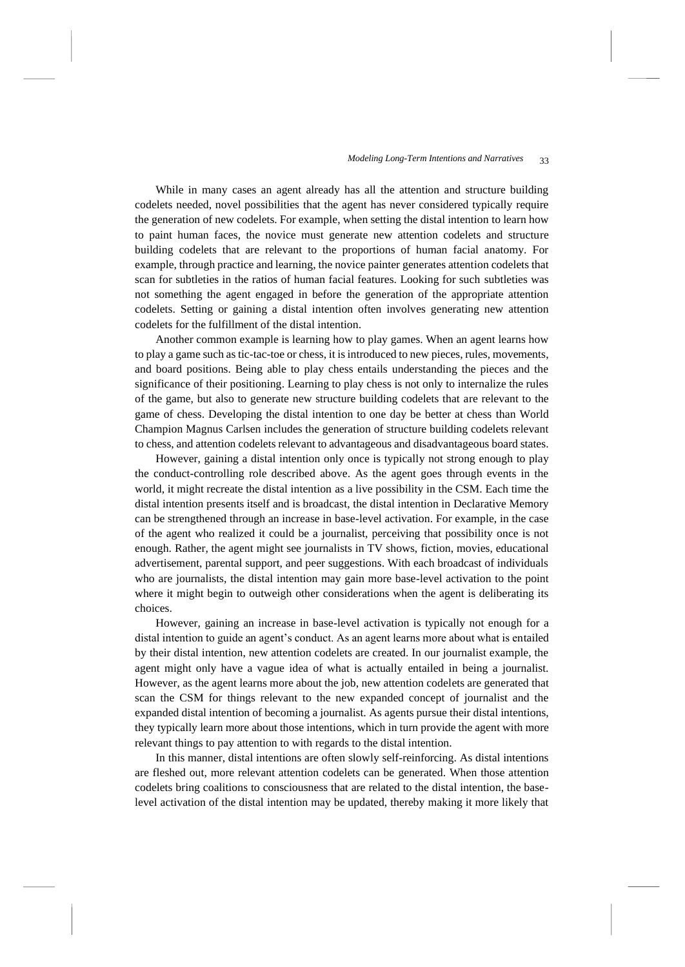While in many cases an agent already has all the attention and structure building codelets needed, novel possibilities that the agent has never considered typically require the generation of new codelets. For example, when setting the distal intention to learn how to paint human faces, the novice must generate new attention codelets and structure building codelets that are relevant to the proportions of human facial anatomy. For example, through practice and learning, the novice painter generates attention codelets that scan for subtleties in the ratios of human facial features. Looking for such subtleties was not something the agent engaged in before the generation of the appropriate attention codelets. Setting or gaining a distal intention often involves generating new attention codelets for the fulfillment of the distal intention.

Another common example is learning how to play games. When an agent learns how to play a game such as tic-tac-toe or chess, it is introduced to new pieces, rules, movements, and board positions. Being able to play chess entails understanding the pieces and the significance of their positioning. Learning to play chess is not only to internalize the rules of the game, but also to generate new structure building codelets that are relevant to the game of chess. Developing the distal intention to one day be better at chess than World Champion Magnus Carlsen includes the generation of structure building codelets relevant to chess, and attention codelets relevant to advantageous and disadvantageous board states.

However, gaining a distal intention only once is typically not strong enough to play the conduct-controlling role described above. As the agent goes through events in the world, it might recreate the distal intention as a live possibility in the CSM. Each time the distal intention presents itself and is broadcast, the distal intention in Declarative Memory can be strengthened through an increase in base-level activation. For example, in the case of the agent who realized it could be a journalist, perceiving that possibility once is not enough. Rather, the agent might see journalists in TV shows, fiction, movies, educational advertisement, parental support, and peer suggestions. With each broadcast of individuals who are journalists, the distal intention may gain more base-level activation to the point where it might begin to outweigh other considerations when the agent is deliberating its choices.

However, gaining an increase in base-level activation is typically not enough for a distal intention to guide an agent's conduct. As an agent learns more about what is entailed by their distal intention, new attention codelets are created. In our journalist example, the agent might only have a vague idea of what is actually entailed in being a journalist. However, as the agent learns more about the job, new attention codelets are generated that scan the CSM for things relevant to the new expanded concept of journalist and the expanded distal intention of becoming a journalist. As agents pursue their distal intentions, they typically learn more about those intentions, which in turn provide the agent with more relevant things to pay attention to with regards to the distal intention.

In this manner, distal intentions are often slowly self-reinforcing. As distal intentions are fleshed out, more relevant attention codelets can be generated. When those attention codelets bring coalitions to consciousness that are related to the distal intention, the baselevel activation of the distal intention may be updated, thereby making it more likely that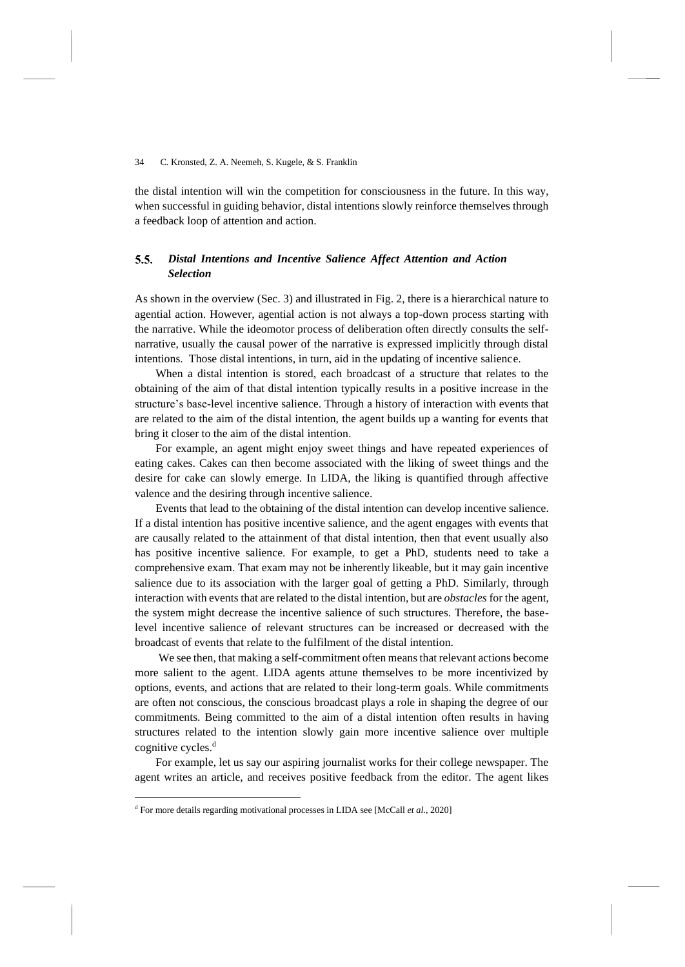the distal intention will win the competition for consciousness in the future. In this way, when successful in guiding behavior, distal intentions slowly reinforce themselves through a feedback loop of attention and action.

### $5.5.$ *Distal Intentions and Incentive Salience Affect Attention and Action Selection*

As shown in the overview (Sec. 3) and illustrated i[n Fig.](#page-9-0) 2, there is a hierarchical nature to agential action. However, agential action is not always a top-down process starting with the narrative. While the ideomotor process of deliberation often directly consults the selfnarrative, usually the causal power of the narrative is expressed implicitly through distal intentions. Those distal intentions, in turn, aid in the updating of incentive salience.

When a distal intention is stored, each broadcast of a structure that relates to the obtaining of the aim of that distal intention typically results in a positive increase in the structure's base-level incentive salience. Through a history of interaction with events that are related to the aim of the distal intention, the agent builds up a wanting for events that bring it closer to the aim of the distal intention.

For example, an agent might enjoy sweet things and have repeated experiences of eating cakes. Cakes can then become associated with the liking of sweet things and the desire for cake can slowly emerge. In LIDA, the liking is quantified through affective valence and the desiring through incentive salience.

Events that lead to the obtaining of the distal intention can develop incentive salience. If a distal intention has positive incentive salience, and the agent engages with events that are causally related to the attainment of that distal intention, then that event usually also has positive incentive salience. For example, to get a PhD, students need to take a comprehensive exam. That exam may not be inherently likeable, but it may gain incentive salience due to its association with the larger goal of getting a PhD. Similarly, through interaction with events that are related to the distal intention, but are *obstacles* for the agent, the system might decrease the incentive salience of such structures. Therefore, the baselevel incentive salience of relevant structures can be increased or decreased with the broadcast of events that relate to the fulfilment of the distal intention.

We see then, that making a self-commitment often means that relevant actions become more salient to the agent. LIDA agents attune themselves to be more incentivized by options, events, and actions that are related to their long-term goals. While commitments are often not conscious, the conscious broadcast plays a role in shaping the degree of our commitments. Being committed to the aim of a distal intention often results in having structures related to the intention slowly gain more incentive salience over multiple cognitive cycles.<sup>d</sup>

For example, let us say our aspiring journalist works for their college newspaper. The agent writes an article, and receives positive feedback from the editor. The agent likes

<sup>d</sup> For more details regarding motivational processes in LIDA see [McCall *et al.*, 2020]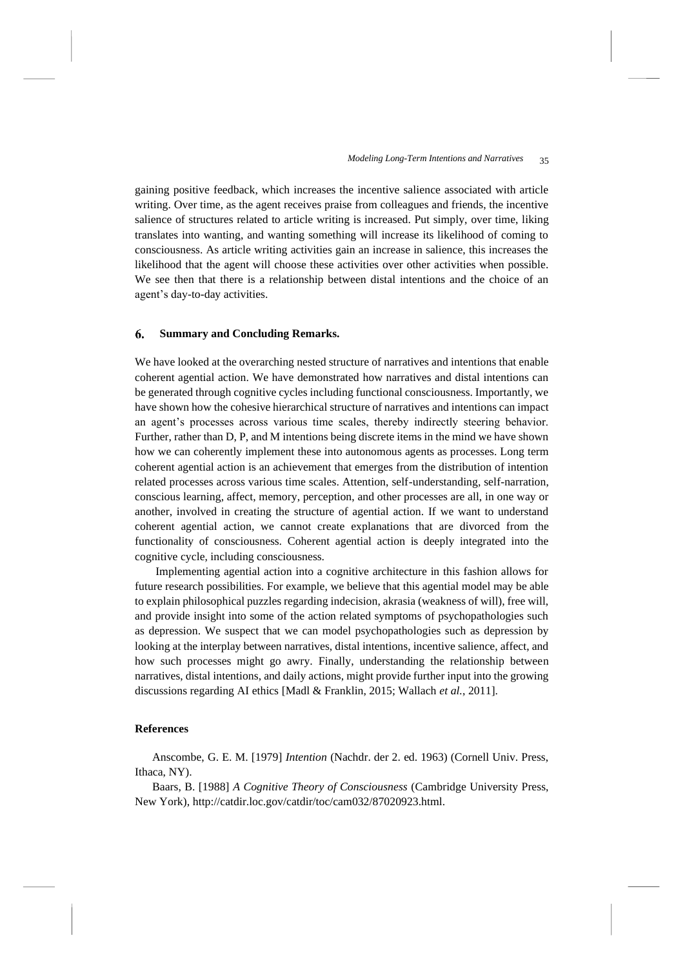gaining positive feedback, which increases the incentive salience associated with article writing. Over time, as the agent receives praise from colleagues and friends, the incentive salience of structures related to article writing is increased. Put simply, over time, liking translates into wanting, and wanting something will increase its likelihood of coming to consciousness. As article writing activities gain an increase in salience, this increases the likelihood that the agent will choose these activities over other activities when possible. We see then that there is a relationship between distal intentions and the choice of an agent's day-to-day activities.

### 6. **Summary and Concluding Remarks.**

We have looked at the overarching nested structure of narratives and intentions that enable coherent agential action. We have demonstrated how narratives and distal intentions can be generated through cognitive cycles including functional consciousness. Importantly, we have shown how the cohesive hierarchical structure of narratives and intentions can impact an agent's processes across various time scales, thereby indirectly steering behavior. Further, rather than D, P, and M intentions being discrete items in the mind we have shown how we can coherently implement these into autonomous agents as processes. Long term coherent agential action is an achievement that emerges from the distribution of intention related processes across various time scales. Attention, self-understanding, self-narration, conscious learning, affect, memory, perception, and other processes are all, in one way or another, involved in creating the structure of agential action. If we want to understand coherent agential action, we cannot create explanations that are divorced from the functionality of consciousness. Coherent agential action is deeply integrated into the cognitive cycle, including consciousness.

Implementing agential action into a cognitive architecture in this fashion allows for future research possibilities. For example, we believe that this agential model may be able to explain philosophical puzzles regarding indecision, akrasia (weakness of will), free will, and provide insight into some of the action related symptoms of psychopathologies such as depression. We suspect that we can model psychopathologies such as depression by looking at the interplay between narratives, distal intentions, incentive salience, affect, and how such processes might go awry. Finally, understanding the relationship between narratives, distal intentions, and daily actions, might provide further input into the growing discussions regarding AI ethics [Madl & Franklin, 2015; Wallach *et al.*, 2011].

## **References**

Anscombe, G. E. M. [1979] *Intention* (Nachdr. der 2. ed. 1963) (Cornell Univ. Press, Ithaca, NY).

Baars, B. [1988] *A Cognitive Theory of Consciousness* (Cambridge University Press, New York), http://catdir.loc.gov/catdir/toc/cam032/87020923.html.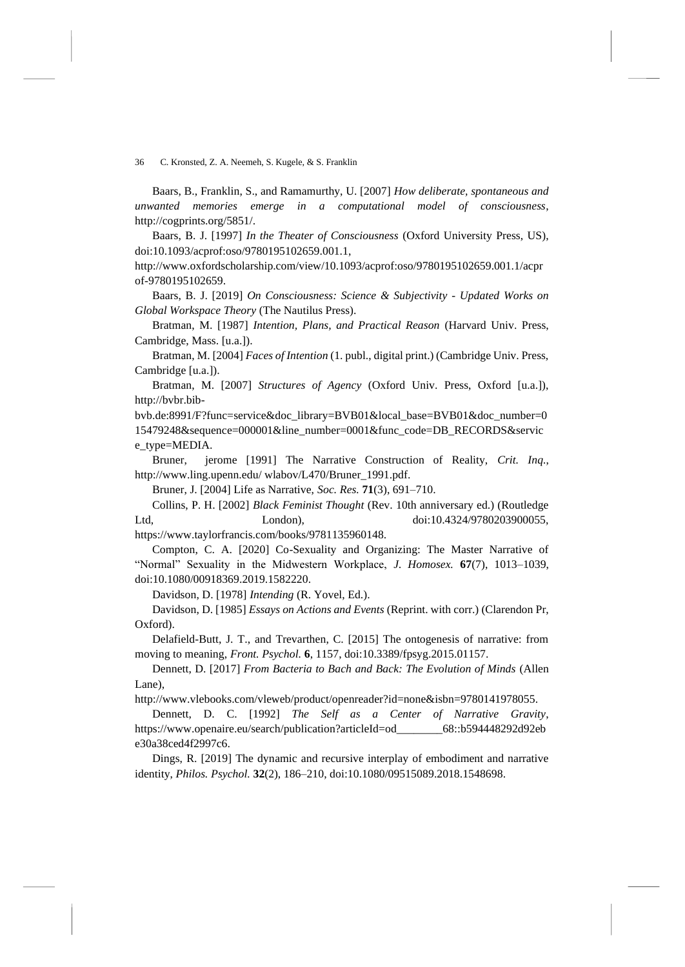Baars, B., Franklin, S., and Ramamurthy, U. [2007] *How deliberate, spontaneous and unwanted memories emerge in a computational model of consciousness*, http://cogprints.org/5851/.

Baars, B. J. [1997] *In the Theater of Consciousness* (Oxford University Press, US), doi:10.1093/acprof:oso/9780195102659.001.1,

http://www.oxfordscholarship.com/view/10.1093/acprof:oso/9780195102659.001.1/acpr of-9780195102659.

Baars, B. J. [2019] *On Consciousness: Science & Subjectivity - Updated Works on Global Workspace Theory* (The Nautilus Press).

Bratman, M. [1987] *Intention, Plans, and Practical Reason* (Harvard Univ. Press, Cambridge, Mass. [u.a.]).

Bratman, M. [2004] *Faces of Intention* (1. publ., digital print.) (Cambridge Univ. Press, Cambridge [u.a.]).

Bratman, M. [2007] *Structures of Agency* (Oxford Univ. Press, Oxford [u.a.]), http://bvbr.bib-

bvb.de:8991/F?func=service&doc\_library=BVB01&local\_base=BVB01&doc\_number=0 15479248&sequence=000001&line\_number=0001&func\_code=DB\_RECORDS&servic e\_type=MEDIA.

Bruner, jerome [1991] The Narrative Construction of Reality, *Crit. Inq.*, http://www.ling.upenn.edu/ wlabov/L470/Bruner\_1991.pdf.

Bruner, J. [2004] Life as Narrative, *Soc. Res.* **71**(3), 691–710.

Collins, P. H. [2002] *Black Feminist Thought* (Rev. 10th anniversary ed.) (Routledge Ltd, London), doi:10.4324/9780203900055, https://www.taylorfrancis.com/books/9781135960148.

Compton, C. A. [2020] Co-Sexuality and Organizing: The Master Narrative of "Normal" Sexuality in the Midwestern Workplace, *J. Homosex.* **67**(7), 1013–1039, doi:10.1080/00918369.2019.1582220.

Davidson, D. [1978] *Intending* (R. Yovel, Ed.).

Davidson, D. [1985] *Essays on Actions and Events* (Reprint. with corr.) (Clarendon Pr, Oxford).

Delafield-Butt, J. T., and Trevarthen, C. [2015] The ontogenesis of narrative: from moving to meaning, *Front. Psychol.* **6**, 1157, doi:10.3389/fpsyg.2015.01157.

Dennett, D. [2017] *From Bacteria to Bach and Back: The Evolution of Minds* (Allen Lane),

http://www.vlebooks.com/vleweb/product/openreader?id=none&isbn=9780141978055.

Dennett, D. C. [1992] *The Self as a Center of Narrative Gravity*, https://www.openaire.eu/search/publication?articleId=od\_\_\_\_\_\_\_\_68::b594448292d92eb e30a38ced4f2997c6.

Dings, R. [2019] The dynamic and recursive interplay of embodiment and narrative identity, *Philos. Psychol.* **32**(2), 186–210, doi:10.1080/09515089.2018.1548698.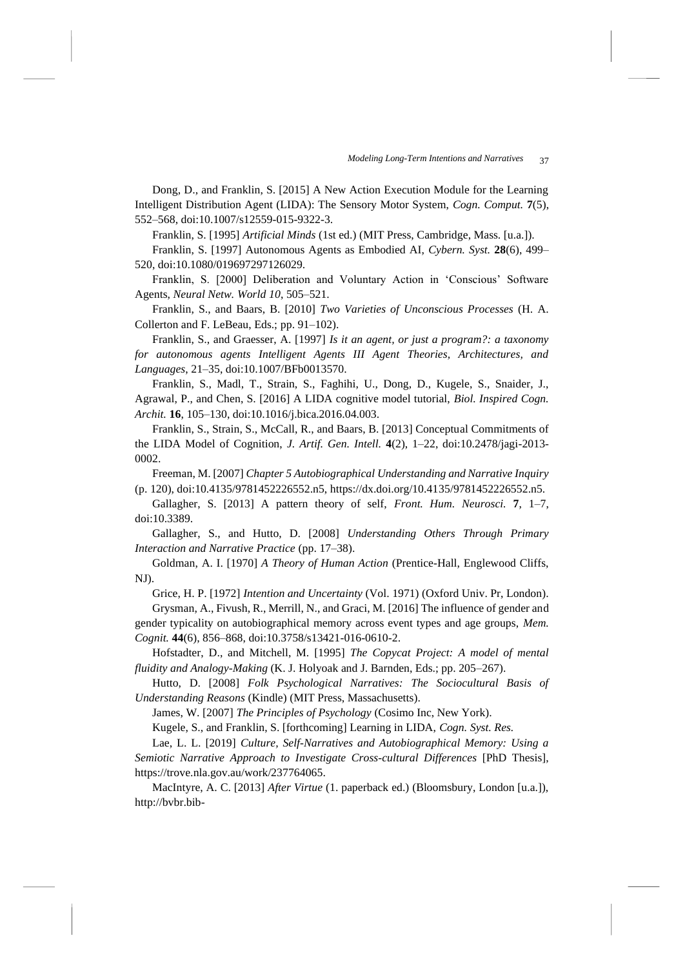Dong, D., and Franklin, S. [2015] A New Action Execution Module for the Learning Intelligent Distribution Agent (LIDA): The Sensory Motor System, *Cogn. Comput.* **7**(5), 552–568, doi:10.1007/s12559-015-9322-3.

Franklin, S. [1995] *Artificial Minds* (1st ed.) (MIT Press, Cambridge, Mass. [u.a.]).

Franklin, S. [1997] Autonomous Agents as Embodied AI, *Cybern. Syst.* **28**(6), 499– 520, doi:10.1080/019697297126029.

Franklin, S. [2000] Deliberation and Voluntary Action in 'Conscious' Software Agents, *Neural Netw. World 10*, 505–521.

Franklin, S., and Baars, B. [2010] *Two Varieties of Unconscious Processes* (H. A. Collerton and F. LeBeau, Eds.; pp. 91–102).

Franklin, S., and Graesser, A. [1997] *Is it an agent, or just a program?: a taxonomy for autonomous agents Intelligent Agents III Agent Theories, Architectures, and Languages*, 21–35, doi:10.1007/BFb0013570.

Franklin, S., Madl, T., Strain, S., Faghihi, U., Dong, D., Kugele, S., Snaider, J., Agrawal, P., and Chen, S. [2016] A LIDA cognitive model tutorial, *Biol. Inspired Cogn. Archit.* **16**, 105–130, doi:10.1016/j.bica.2016.04.003.

Franklin, S., Strain, S., McCall, R., and Baars, B. [2013] Conceptual Commitments of the LIDA Model of Cognition, *J. Artif. Gen. Intell.* **4**(2), 1–22, doi:10.2478/jagi-2013- 0002.

Freeman, M. [2007] *Chapter 5 Autobiographical Understanding and Narrative Inquiry* (p. 120), doi:10.4135/9781452226552.n5, https://dx.doi.org/10.4135/9781452226552.n5.

Gallagher, S. [2013] A pattern theory of self, *Front. Hum. Neurosci.* **7**, 1–7, doi:10.3389.

Gallagher, S., and Hutto, D. [2008] *Understanding Others Through Primary Interaction and Narrative Practice* (pp. 17–38).

Goldman, A. I. [1970] *A Theory of Human Action* (Prentice-Hall, Englewood Cliffs, NJ).

Grice, H. P. [1972] *Intention and Uncertainty* (Vol. 1971) (Oxford Univ. Pr, London).

Grysman, A., Fivush, R., Merrill, N., and Graci, M. [2016] The influence of gender and gender typicality on autobiographical memory across event types and age groups, *Mem. Cognit.* **44**(6), 856–868, doi:10.3758/s13421-016-0610-2.

Hofstadter, D., and Mitchell, M. [1995] *The Copycat Project: A model of mental fluidity and Analogy-Making* (K. J. Holyoak and J. Barnden, Eds.; pp. 205–267).

Hutto, D. [2008] *Folk Psychological Narratives: The Sociocultural Basis of Understanding Reasons* (Kindle) (MIT Press, Massachusetts).

James, W. [2007] *The Principles of Psychology* (Cosimo Inc, New York).

Kugele, S., and Franklin, S. [forthcoming] Learning in LIDA, *Cogn. Syst. Res.*

Lae, L. L. [2019] *Culture, Self-Narratives and Autobiographical Memory: Using a Semiotic Narrative Approach to Investigate Cross-cultural Differences* [PhD Thesis], https://trove.nla.gov.au/work/237764065.

MacIntyre, A. C. [2013] *After Virtue* (1. paperback ed.) (Bloomsbury, London [u.a.]), http://bvbr.bib-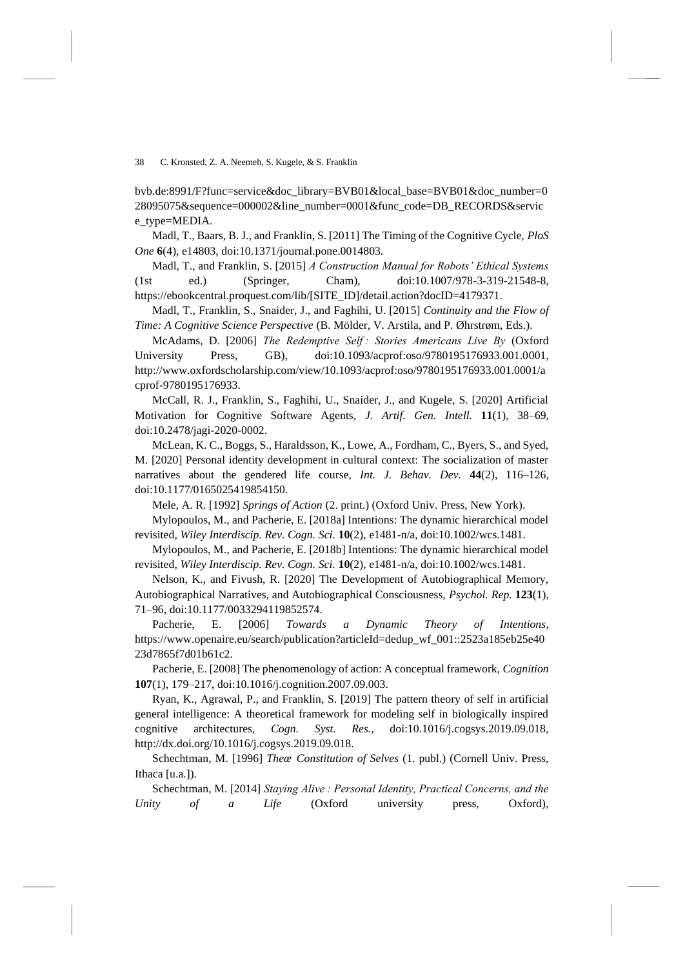bvb.de:8991/F?func=service&doc\_library=BVB01&local\_base=BVB01&doc\_number=0 28095075&sequence=000002&line\_number=0001&func\_code=DB\_RECORDS&servic e type=MEDIA.

Madl, T., Baars, B. J., and Franklin, S. [2011] The Timing of the Cognitive Cycle, *PloS One* **6**(4), e14803, doi:10.1371/journal.pone.0014803.

Madl, T., and Franklin, S. [2015] *A Construction Manual for Robots' Ethical Systems* (1st ed.) (Springer, Cham), doi:10.1007/978-3-319-21548-8, https://ebookcentral.proquest.com/lib/[SITE\_ID]/detail.action?docID=4179371.

Madl, T., Franklin, S., Snaider, J., and Faghihi, U. [2015] *Continuity and the Flow of Time: A Cognitive Science Perspective* (B. Mölder, V. Arstila, and P. Øhrstrøm, Eds.).

McAdams, D. [2006] *The Redemptive Self : Stories Americans Live By* (Oxford University Press, GB), doi:10.1093/acprof:oso/9780195176933.001.0001, http://www.oxfordscholarship.com/view/10.1093/acprof:oso/9780195176933.001.0001/a cprof-9780195176933.

McCall, R. J., Franklin, S., Faghihi, U., Snaider, J., and Kugele, S. [2020] Artificial Motivation for Cognitive Software Agents, *J. Artif. Gen. Intell.* **11**(1), 38–69, doi:10.2478/jagi-2020-0002.

McLean, K. C., Boggs, S., Haraldsson, K., Lowe, A., Fordham, C., Byers, S., and Syed, M. [2020] Personal identity development in cultural context: The socialization of master narratives about the gendered life course, *Int. J. Behav. Dev.* **44**(2), 116–126, doi:10.1177/0165025419854150.

Mele, A. R. [1992] *Springs of Action* (2. print.) (Oxford Univ. Press, New York).

Mylopoulos, M., and Pacherie, E. [2018a] Intentions: The dynamic hierarchical model revisited, *Wiley Interdiscip. Rev. Cogn. Sci.* **10**(2), e1481-n/a, doi:10.1002/wcs.1481.

Mylopoulos, M., and Pacherie, E. [2018b] Intentions: The dynamic hierarchical model revisited, *Wiley Interdiscip. Rev. Cogn. Sci.* **10**(2), e1481-n/a, doi:10.1002/wcs.1481.

Nelson, K., and Fivush, R. [2020] The Development of Autobiographical Memory, Autobiographical Narratives, and Autobiographical Consciousness, *Psychol. Rep.* **123**(1), 71–96, doi:10.1177/0033294119852574.

Pacherie, E. [2006] *Towards a Dynamic Theory of Intentions*, https://www.openaire.eu/search/publication?articleId=dedup\_wf\_001::2523a185eb25e40 23d7865f7d01b61c2.

Pacherie, E. [2008] The phenomenology of action: A conceptual framework, *Cognition* **107**(1), 179–217, doi:10.1016/j.cognition.2007.09.003.

Ryan, K., Agrawal, P., and Franklin, S. [2019] The pattern theory of self in artificial general intelligence: A theoretical framework for modeling self in biologically inspired cognitive architectures, *Cogn. Syst. Res.*, doi:10.1016/j.cogsys.2019.09.018, http://dx.doi.org/10.1016/j.cogsys.2019.09.018.

Schechtman, M. [1996] *Theœ Constitution of Selves* (1. publ.) (Cornell Univ. Press, Ithaca [u.a.]).

Schechtman, M. [2014] *Staying Alive : Personal Identity, Practical Concerns, and the Unity of a Life* (Oxford university press, Oxford),